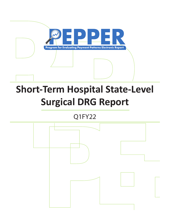

# **Short-Term Hospital State-Level Surgical DRG Report**

# Q1FY22

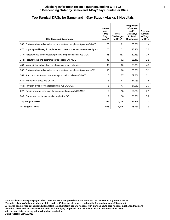#### **Discharges for most recent 4 quarters, ending Q1FY22 1 In Descending Order by Same- and 1-Day Stay Counts Per DRG**

| <b>DRG Code and Description</b>                                                   | Same-<br>and<br>1-Day<br>Stay<br>Count* | <b>Total</b><br><b>Discharges</b><br>for DRG* | Proportion<br>of Same-<br>and $1-$<br>Day Stays<br>to Total<br><b>Discharges</b> | Average<br>Length<br>of Stay<br>for DRG |
|-----------------------------------------------------------------------------------|-----------------------------------------|-----------------------------------------------|----------------------------------------------------------------------------------|-----------------------------------------|
| 267 : Endovascular cardiac valve replacement and supplement procs w/o MCC         | 76                                      | 91                                            | 83.5%                                                                            | 1.4                                     |
| 470 : Major hip and knee joint replacement or reattachment of lower extremity w/o | 76                                      | 421                                           | 18.1%                                                                            | 2.6                                     |
| 247 : Percutaneous cardiovascular procs w drug-eluting stent w/o MCC              | 46                                      | 153                                           | 30.1%                                                                            | 2.4                                     |
| 274 : Percutaneous and other intracardiac procs w/o MCC                           | 36                                      | 62                                            | 58.1%                                                                            | 2.5                                     |
| 483 : Major joint or limb reattachment procs of upper extremities                 | 32                                      | 60                                            | 53.3%                                                                            | 4.8                                     |
| 266 : Endovascular cardiac valve replacement and supplement procs w MCC           | 30                                      | 60                                            | 50.0%                                                                            | 5.1                                     |
| 269 : Aortic and heart assist procs except pulsation balloon w/o MCC              | 16                                      | 27                                            | 59.3%                                                                            | 2.1                                     |
| 039 : Extracranial procs w/o CC/MCC                                               | 15                                      | 43                                            | 34.9%                                                                            | 1.8                                     |
| 468 : Revision of hip or knee replacement w/o CC/MCC                              | 15                                      | 47                                            | 31.9%                                                                            | 2.7                                     |
| 027 : Craniotomy and endovascular intracranial procs w/o CC/MCC                   | 12                                      | 18                                            | 66.7%                                                                            | 2.1                                     |
| 243 : Permanent cardiac pacemaker implant w CC                                    | 12                                      | 36                                            | 33.3%                                                                            | 3.7                                     |
| <b>Top Surgical DRGs</b>                                                          | 366                                     | 1,018                                         | 36.0%                                                                            | 2.7                                     |
| <b>All Surgical DRGs</b>                                                          | 636                                     | 4,210                                         | 15.1%                                                                            | 7.3                                     |

#### **Top Surgical DRGs for Same- and 1-Day Stays - Alaska, 8 Hospitals**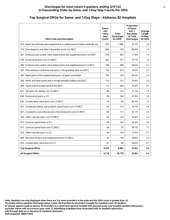#### **Top Surgical DRGs for Same- and 1-Day Stays - Alabama, 82 Hospitals**

| <b>DRG Code and Description</b>                                                   | Same-<br>and<br>1-Dav<br>Stay<br>Count* | <b>Total</b><br><b>Discharges</b><br>for DRG* | Proportion<br>of Same-<br>and $1-$<br>Day Stays<br>to Total<br><b>Discharges</b> | Average<br>Length<br>of Stay<br>for DRG |
|-----------------------------------------------------------------------------------|-----------------------------------------|-----------------------------------------------|----------------------------------------------------------------------------------|-----------------------------------------|
| 470 : Major hip and knee joint replacement or reattachment of lower extremity w/o | 670                                     | 1.486                                         | 45.1%                                                                            | 2.0                                     |
| 274 : Percutaneous and other intracardiac procs w/o MCC                           | 646                                     | 729                                           | 88.6%                                                                            | 1.3                                     |
| 267 : Endovascular cardiac valve replacement and supplement procs w/o MCC         | 318                                     | 443                                           | 71.8%                                                                            | 1.5                                     |
| 039 : Extracranial procs w/o CC/MCC                                               | 281                                     | 371                                           | 75.7%                                                                            | 1.5                                     |
| 266 : Endovascular cardiac valve replacement and supplement procs w MCC           | 238                                     | 369                                           | 64.5%                                                                            | 2.7                                     |
| 247 : Percutaneous cardiovascular procs w drug-eluting stent w/o MCC              | 150                                     | 813                                           | 18.5%                                                                            | 2.7                                     |
| 483 : Major joint or limb reattachment procs of upper extremities                 | 150                                     | 276                                           | 54.3%                                                                            | 2.4                                     |
| 269 : Aortic and heart assist procs except pulsation balloon w/o MCC              | 114                                     | 212                                           | 53.8%                                                                            | 2.5                                     |
| 460 : Spinal fusion except cervical w/o MCC                                       | 113                                     | 590                                           | 19.2%                                                                            | 3.1                                     |
| 621 : OR procs for obesity w/o CC/MCC                                             | 88                                      | 122                                           | 72.1%                                                                            | 1.4                                     |
| 038 : Extracranial procs w CC                                                     | 78                                      | 164                                           | 47.6%                                                                            | 3.0                                     |
| 036 : Carotid artery stent procs w/o CC/MCC                                       | 70                                      | 83                                            | 84.3%                                                                            | 1.2                                     |
| 455 : Combined anterior and posterior spinal fusion w/o CC/MCC                    | 62                                      | 314                                           | 19.7%                                                                            | 2.6                                     |
| 027 : Craniotomy and endovascular intracranial procs w/o CC/MCC                   | 60                                      | 113                                           | 53.1%                                                                            | 2.5                                     |
| 254 : Other vascular procs w/o CC/MCC                                             | 59                                      | 130                                           | 45.4%                                                                            | 2.2                                     |
| 472 : Cervical spinal fusion w CC                                                 | 49                                      | 144                                           | 34.0%                                                                            | 3.5                                     |
| 473 : Cervical spinal fusion w/o CC/MCC                                           | 44                                      | 75                                            | 58.7%                                                                            | 1.7                                     |
| 253 : Other vascular procs w CC                                                   | 43                                      | 318                                           | 13.5%                                                                            | 5.1                                     |
| 468 : Revision of hip or knee replacement w/o CC/MCC                              | 42                                      | 142                                           | 29.6%                                                                            | 2.4                                     |
| 035 : Carotid artery stent procs w CC                                             | 41                                      | 69                                            | 59.4%                                                                            | 2.7                                     |
| <b>Top Surgical DRGs</b>                                                          | 3,316                                   | 6,963                                         | 47.6%                                                                            | 2.3                                     |
| <b>All Surgical DRGs</b>                                                          | 4,719                                   | 28,170                                        | 16.8%                                                                            | 6.2                                     |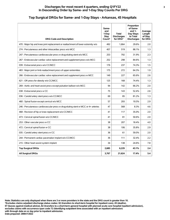#### **Top Surgical DRGs for Same- and 1-Day Stays - Arkansas, 45 Hospitals**

| <b>DRG Code and Description</b>                                                   | Same-<br>and<br>1-Day<br><b>Stay</b><br>Count* | <b>Total</b><br><b>Discharges</b><br>for DRG* | Proportion<br>of Same-<br>and $1-$<br>Day Stays<br>to Total<br><b>Discharges</b> | Average<br>Length<br>of Stay<br>for DRG |
|-----------------------------------------------------------------------------------|------------------------------------------------|-----------------------------------------------|----------------------------------------------------------------------------------|-----------------------------------------|
| 470 : Major hip and knee joint replacement or reattachment of lower extremity w/o | 492                                            | 1,664                                         | 29.6%                                                                            | 2.0                                     |
| 274 : Percutaneous and other intracardiac procs w/o MCC                           | 457                                            | 519                                           | 88.1%                                                                            | 1.3                                     |
| 247 : Percutaneous cardiovascular procs w drug-eluting stent w/o MCC              | 253                                            | 792                                           | 31.9%                                                                            | 2.3                                     |
| 267 : Endovascular cardiac valve replacement and supplement procs w/o MCC         | 252                                            | 298                                           | 84.6%                                                                            | 1.3                                     |
| 039 : Extracranial procs w/o CC/MCC                                               | 176                                            | 237                                           | 74.3%                                                                            | 1.5                                     |
| 483 : Major joint or limb reattachment procs of upper extremities                 | 175                                            | 272                                           | 64.3%                                                                            | 1.9                                     |
| 266 : Endovascular cardiac valve replacement and supplement procs w MCC           | 149                                            | 227                                           | 65.6%                                                                            | 2.6                                     |
| 621 : OR procs for obesity w/o CC/MCC                                             | 125                                            | 168                                           | 74.4%                                                                            | 1.3                                     |
| 269 : Aortic and heart assist procs except pulsation balloon w/o MCC              | 94                                             | 142                                           | 66.2%                                                                            | 2.0                                     |
| 038 : Extracranial procs w CC                                                     | 75                                             | 143                                           | 52.4%                                                                            | 2.6                                     |
| 036 : Carotid artery stent procs w/o CC/MCC                                       | 69                                             | 85                                            | 81.2%                                                                            | 1.3                                     |
| 460 : Spinal fusion except cervical w/o MCC                                       | 57                                             | 293                                           | 19.5%                                                                            | 2.9                                     |
| 246 : Percutaneous cardiovascular procs w drug-eluting stent w MCC or 4+ arteries | 47                                             | 568                                           | 8.3%                                                                             | 4.6                                     |
| 468 : Revision of hip or knee replacement w/o CC/MCC                              | 41                                             | 117                                           | 35.0%                                                                            | 2.0                                     |
| 473 : Cervical spinal fusion w/o CC/MCC                                           | 41                                             | 81                                            | 50.6%                                                                            | 2.0                                     |
| 253 : Other vascular procs w CC                                                   | 38                                             | 207                                           | 18.4%                                                                            | 4.0                                     |
| 472 : Cervical spinal fusion w CC                                                 | 38                                             | 106                                           | 35.8%                                                                            | 2.9                                     |
| 035 : Carotid artery stent procs w CC                                             | 36                                             | 61                                            | 59.0%                                                                            | 2.0                                     |
| 244 : Permanent cardiac pacemaker implant w/o CC/MCC                              | 36                                             | 111                                           | 32.4%                                                                            | 2.2                                     |
| 215 : Other heart assist system implant                                           | 34                                             | 138                                           | 24.6%                                                                            | 7.8                                     |
| <b>Top Surgical DRGs</b>                                                          | 2,685                                          | 6,229                                         | 43.1%                                                                            | 2.4                                     |
| <b>All Surgical DRGs</b>                                                          | 3,767                                          | 21,624                                        | 17.4%                                                                            | 5.4                                     |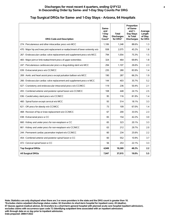#### **Top Surgical DRGs for Same- and 1-Day Stays - Arizona, 64 Hospitals**

| <b>DRG Code and Description</b>                                                   | Same-<br>and<br>1-Day<br>Stay<br>Count* | <b>Total</b><br><b>Discharges</b><br>for DRG* | Proportion<br>of Same-<br>and $1-$<br>Day Stays<br>to Total<br><b>Discharges</b> | Average<br>Length<br>of Stay<br>for DRG |
|-----------------------------------------------------------------------------------|-----------------------------------------|-----------------------------------------------|----------------------------------------------------------------------------------|-----------------------------------------|
| 274 : Percutaneous and other intracardiac procs w/o MCC                           | 1,106                                   | 1,248                                         | 88.6%                                                                            | 1.3                                     |
| 470 : Major hip and knee joint replacement or reattachment of lower extremity w/o | 938                                     | 2,075                                         | 45.2%                                                                            | 1.8                                     |
| 267 : Endovascular cardiac valve replacement and supplement procs w/o MCC         | 794                                     | 1,054                                         | 75.3%                                                                            | 1.5                                     |
| 483 : Major joint or limb reattachment procs of upper extremities                 | 324                                     | 464                                           | 69.8%                                                                            | 1.8                                     |
| 247 : Percutaneous cardiovascular procs w drug-eluting stent w/o MCC              | 294                                     | 1,107                                         | 26.6%                                                                            | 2.3                                     |
| 039 : Extracranial procs w/o CC/MCC                                               | 235                                     | 280                                           | 83.9%                                                                            | 1,4                                     |
| 269 : Aortic and heart assist procs except pulsation balloon w/o MCC              | 190                                     | 287                                           | 66.2%                                                                            | 1.9                                     |
| 266 : Endovascular cardiac valve replacement and supplement procs w MCC           | 144                                     | 403                                           | 35.7%                                                                            | 5.2                                     |
| 027 : Craniotomy and endovascular intracranial procs w/o CC/MCC                   | 119                                     | 236                                           | 50.4%                                                                            | 2.1                                     |
| 455 : Combined anterior and posterior spinal fusion w/o CC/MCC                    | 108                                     | 448                                           | 24.1%                                                                            | 2.5                                     |
| 036 : Carotid artery stent procs w/o CC/MCC                                       | 95                                      | 116                                           | 81.9%                                                                            | 1,4                                     |
| 460 : Spinal fusion except cervical w/o MCC                                       | 93                                      | 514                                           | 18.1%                                                                            | 3.3                                     |
| 621 : OR procs for obesity w/o CC/MCC                                             | 73                                      | 109                                           | 67.0%                                                                            | 1,4                                     |
| 468 : Revision of hip or knee replacement w/o CC/MCC                              | 67                                      | 200                                           | 33.5%                                                                            | 2.3                                     |
| 038 : Extracranial procs w CC                                                     | 65                                      | 154                                           | 42.2%                                                                            | 3.0                                     |
| 660 : Kidney and ureter procs for non-neoplasm w CC                               | 65                                      | 323                                           | 20.1%                                                                            | 3.3                                     |
| 661 : Kidney and ureter procs for non-neoplasm w/o CC/MCC                         | 63                                      | 212                                           | 29.7%                                                                            | 2.0                                     |
| 244 : Permanent cardiac pacemaker implant w/o CC/MCC                              | 60                                      | 234                                           | 25.6%                                                                            | 2.2                                     |
| 454 : Combined anterior and posterior spinal fusion w CC                          | 60                                      | 552                                           | 10.9%                                                                            | 3.7                                     |
| 472 : Cervical spinal fusion w CC                                                 | 56                                      | 253                                           | 22.1%                                                                            | 3.3                                     |
| <b>Top Surgical DRGs</b>                                                          | 4,949                                   | 10,269                                        | 48.2%                                                                            | 2.2                                     |
| <b>All Surgical DRGs</b>                                                          | 7,047                                   | 37,015                                        | 19.0%                                                                            | 5.5                                     |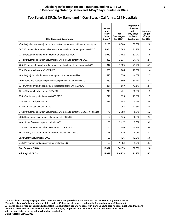# **Top Surgical DRGs for Same- and 1-Day Stays - California, 284 Hospitals**

| <b>DRG Code and Description</b>                                                   | Same-<br>and<br>1-Day<br><b>Stay</b><br>Count* | <b>Total</b><br><b>Discharges</b><br>for DRG* | Proportion<br>of Same-<br>and $1-$<br>Day Stays<br>to Total<br><b>Discharges</b> | Average<br>Length<br>of Stay<br>for DRG |
|-----------------------------------------------------------------------------------|------------------------------------------------|-----------------------------------------------|----------------------------------------------------------------------------------|-----------------------------------------|
| 470 : Major hip and knee joint replacement or reattachment of lower extremity w/o | 3,273                                          | 8,668                                         | 37.8%                                                                            | 2.0                                     |
| 267 : Endovascular cardiac valve replacement and supplement procs w/o MCC         | 2.074                                          | 2.885                                         | 71.9%                                                                            | 1.6                                     |
| 274 : Percutaneous and other intracardiac procs w/o MCC                           | 2.040                                          | 2,482                                         | 82.2%                                                                            | 1.5                                     |
| 247 : Percutaneous cardiovascular procs w drug-eluting stent w/o MCC              | 882                                            | 3,571                                         | 24.7%                                                                            | 2.4                                     |
| 266 : Endovascular cardiac valve replacement and supplement procs w MCC           | 817                                            | 1,985                                         | 41.2%                                                                            | 4.7                                     |
| 039 : Extracranial procs w/o CC/MCC                                               | 608                                            | 785                                           | 77.5%                                                                            | 1.4                                     |
| 483 : Major joint or limb reattachment procs of upper extremities                 | 590                                            | 1,326                                         | 44.5%                                                                            | 2.3                                     |
| 269 : Aortic and heart assist procs except pulsation balloon w/o MCC              | 360                                            | 599                                           | 60.1%                                                                            | 2.2                                     |
| 027 : Craniotomy and endovascular intracranial procs w/o CC/MCC                   | 251                                            | 589                                           | 42.6%                                                                            | 2.4                                     |
| 621 : OR procs for obesity w/o CC/MCC                                             | 248                                            | 421                                           | 58.9%                                                                            | 1.5                                     |
| 036 : Carotid artery stent procs w/o CC/MCC                                       | 241                                            | 329                                           | 73.3%                                                                            | 1.5                                     |
| 038 : Extracranial procs w CC                                                     | 219                                            | 484                                           | 45.2%                                                                            | 3.0                                     |
| 472 : Cervical spinal fusion w CC                                                 | 192                                            | 1,092                                         | 17.6%                                                                            | 3.8                                     |
| 246 : Percutaneous cardiovascular procs w drug-eluting stent w MCC or 4+ arteries | 176                                            | 2,788                                         | 6.3%                                                                             | 5.2                                     |
| 468 : Revision of hip or knee replacement w/o CC/MCC                              | 162                                            | 535                                           | 30.3%                                                                            | 2.3                                     |
| 460 : Spinal fusion except cervical w/o MCC                                       | 155                                            | 2,117                                         | 7.3%                                                                             | 3.9                                     |
| 273 : Percutaneous and other intracardiac procs w MCC                             | 154                                            | 498                                           | 30.9%                                                                            | 5.0                                     |
| 661 : Kidney and ureter procs for non-neoplasm w/o CC/MCC                         | 148                                            | 510                                           | 29.0%                                                                            | 2.3                                     |
| 253 : Other vascular procs w CC                                                   | 135                                            | 1,126                                         | 12.0%                                                                            | 5.0                                     |
| 243 : Permanent cardiac pacemaker implant w CC                                    | 132                                            | 1,363                                         | 9.7%                                                                             | 3.7                                     |
| <b>Top Surgical DRGs</b>                                                          | 12,857                                         | 34,153                                        | 37.6%                                                                            | 2.8                                     |
| <b>All Surgical DRGs</b>                                                          | 19,817                                         | 140,923                                       | 14.1%                                                                            | 6.3                                     |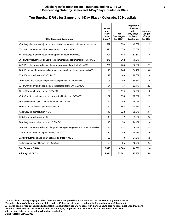# **Top Surgical DRGs for Same- and 1-Day Stays - Colorado, 50 Hospitals**

| <b>DRG Code and Description</b>                                                   | Same-<br>and<br>1-Day<br>Stay<br>Count* | <b>Total</b><br><b>Discharges</b><br>for DRG* | Proportion<br>of Same-<br>and $1-$<br>Day Stays<br>to Total<br><b>Discharges</b> | Average<br>Length<br>of Stay<br>for DRG |
|-----------------------------------------------------------------------------------|-----------------------------------------|-----------------------------------------------|----------------------------------------------------------------------------------|-----------------------------------------|
| 470 : Major hip and knee joint replacement or reattachment of lower extremity w/o | 527                                     | 1,090                                         | 48.3%                                                                            | 1.9                                     |
| 274 : Percutaneous and other intracardiac procs w/o MCC                           | 496                                     | 570                                           | 87.0%                                                                            | 1.3                                     |
| 483 : Major joint or limb reattachment procs of upper extremities                 | 304                                     | 486                                           | 62.6%                                                                            | 1.8                                     |
| 267 : Endovascular cardiac valve replacement and supplement procs w/o MCC         | 276                                     | 362                                           | 76.2%                                                                            | 1.4                                     |
| 247 : Percutaneous cardiovascular procs w drug-eluting stent w/o MCC              | 251                                     | 765                                           | 32.8%                                                                            | 2.1                                     |
| 266 : Endovascular cardiac valve replacement and supplement procs w MCC           | 145                                     | 265                                           | 54.7%                                                                            | 3.6                                     |
| 039 : Extracranial procs w/o CC/MCC                                               | 112                                     | 143                                           | 78.3%                                                                            | 1.4                                     |
| 269 : Aortic and heart assist procs except pulsation balloon w/o MCC              | 103                                     | 159                                           | 64.8%                                                                            | 1.9                                     |
| 027 : Craniotomy and endovascular intracranial procs w/o CC/MCC                   | 94                                      | 177                                           | 53.1%                                                                            | 2.2                                     |
| 621 : OR procs for obesity w/o CC/MCC                                             | 60                                      | 114                                           | 52.6%                                                                            | 1.6                                     |
| 455 : Combined anterior and posterior spinal fusion w/o CC/MCC                    | 57                                      | 553                                           | 10.3%                                                                            | 2.9                                     |
| 468 : Revision of hip or knee replacement w/o CC/MCC                              | 56                                      | 146                                           | 38.4%                                                                            | 2.1                                     |
| 460 : Spinal fusion except cervical w/o MCC                                       | 49                                      | 463                                           | 10.6%                                                                            | 3.5                                     |
| 472 : Cervical spinal fusion w CC                                                 | 46                                      | 228                                           | 20.2%                                                                            | 3.4                                     |
| 038 : Extracranial procs w CC                                                     | 43                                      | 77                                            | 55.8%                                                                            | $2.2\phantom{0}$                        |
| 708 : Major male pelvic procs w/o CC/MCC                                          | 43                                      | 58                                            | 74.1%                                                                            | 1.4                                     |
| 246 : Percutaneous cardiovascular procs w drug-eluting stent w MCC or 4+ arteries | 42                                      | 452                                           | 9.3%                                                                             | 4.5                                     |
| 036 : Carotid artery stent procs w/o CC/MCC                                       | 39                                      | 56                                            | 69.6%                                                                            | 1.6                                     |
| 273 : Percutaneous and other intracardiac procs w MCC                             | 38                                      | 110                                           | 34.5%                                                                            | 5.5                                     |
| 473 : Cervical spinal fusion w/o CC/MCC                                           | 35                                      | 86                                            | 40.7%                                                                            | 2.3                                     |
| <b>Top Surgical DRGs</b>                                                          | 2,816                                   | 6,360                                         | 44.3%                                                                            | 2.4                                     |
| <b>All Surgical DRGs</b>                                                          | 4,094                                   | 23,691                                        | 17.3%                                                                            | 5.9                                     |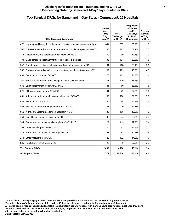#### **Top Surgical DRGs for Same- and 1-Day Stays - Connecticut, 26 Hospitals**

| <b>DRG Code and Description</b>                                                   | Same-<br>and<br>1-Day<br><b>Stay</b><br>Count* | <b>Total</b><br><b>Discharges</b><br>for DRG* | Proportion<br>of Same-<br>and $1-$<br>Day Stays<br>to Total<br><b>Discharges</b> | Average<br>Length<br>of Stay<br>for DRG |
|-----------------------------------------------------------------------------------|------------------------------------------------|-----------------------------------------------|----------------------------------------------------------------------------------|-----------------------------------------|
| 470 : Major hip and knee joint replacement or reattachment of lower extremity w/o | 844                                            | 1,585                                         | 53.2%                                                                            | 1.8                                     |
| 267 : Endovascular cardiac valve replacement and supplement procs w/o MCC         | 195                                            | 287                                           | 67.9%                                                                            | 1.7                                     |
| 274 : Percutaneous and other intracardiac procs w/o MCC                           | 170                                            | 239                                           | 71.1%                                                                            | 1.9                                     |
| 483 : Major joint or limb reattachment procs of upper extremities                 | 135                                            | 194                                           | 69.6%                                                                            | 1.6                                     |
| 247 : Percutaneous cardiovascular procs w drug-eluting stent w/o MCC              | 94                                             | 468                                           | 20.1%                                                                            | 2.6                                     |
| 266 : Endovascular cardiac valve replacement and supplement procs w MCC           | 92                                             | 229                                           | 40.2%                                                                            | 4.5                                     |
| 039 : Extracranial procs w/o CC/MCC                                               | 75                                             | 101                                           | 74.3%                                                                            | 1,4                                     |
| 269 : Aortic and heart assist procs except pulsation balloon w/o MCC              | 73                                             | 110                                           | 66.4%                                                                            | 2.0                                     |
| 036 : Carotid artery stent procs w/o CC/MCC                                       | 41                                             | 60                                            | 68.3%                                                                            | 1.6                                     |
| 621 : OR procs for obesity w/o CC/MCC                                             | 41                                             | 75                                            | 54.7%                                                                            | 1.6                                     |
| 661 : Kidney and ureter procs for non-neoplasm w/o CC/MCC                         | 39                                             | 100                                           | 39.0%                                                                            | 2.0                                     |
| 038 : Extracranial procs w CC                                                     | 36                                             | 64                                            | 56.3%                                                                            | 2.5                                     |
| 468 : Revision of hip or knee replacement w/o CC/MCC                              | 35                                             | 79                                            | 44.3%                                                                            | 2.2                                     |
| 660 : Kidney and ureter procs for non-neoplasm w CC                               | 32                                             | 196                                           | 16.3%                                                                            | 4.0                                     |
| 460 : Spinal fusion except cervical w/o MCC                                       | 30                                             | 344                                           | 8.7%                                                                             | 3.4                                     |
| 244 : Permanent cardiac pacemaker implant w/o CC/MCC                              | 27                                             | 119                                           | 22.7%                                                                            | 2.4                                     |
| 254 : Other vascular procs w/o CC/MCC                                             | 26                                             | 63                                            | 41.3%                                                                            | 2.2                                     |
| 243 : Permanent cardiac pacemaker implant w CC                                    | 25                                             | 241                                           | 10.4%                                                                            | 3.5                                     |
| 253 : Other vascular procs w CC                                                   | 25                                             | 172                                           | 14.5%                                                                            | 4.7                                     |
| 035 : Carotid artery stent procs w CC                                             | 23                                             | 40                                            | 57.5%                                                                            | 2.2                                     |
| <b>Top Surgical DRGs</b>                                                          | 2,058                                          | 4,766                                         | 43.2%                                                                            | 2.4                                     |
| <b>All Surgical DRGs</b>                                                          | 2.779                                          | 18,316                                        | 15.2%                                                                            | 6.6                                     |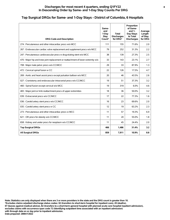#### **Discharges for most recent 4 quarters, ending Q1FY22 8 In Descending Order by Same- and 1-Day Stay Counts Per DRG**

#### **Top Surgical DRGs for Same- and 1-Day Stays - District of Columbia, 6 Hospitals**

| <b>DRG Code and Description</b>                                                   | Same-<br>and<br>1-Dav<br><b>Stay</b><br>Count* | <b>Total</b><br><b>Discharges</b><br>for DRG* | Proportion<br>of Same-<br>and $1-$<br>Day Stays<br>to Total<br><b>Discharges</b> | Average<br>Length<br>of Stay<br>for DRG |
|-----------------------------------------------------------------------------------|------------------------------------------------|-----------------------------------------------|----------------------------------------------------------------------------------|-----------------------------------------|
| 274 : Percutaneous and other intracardiac procs w/o MCC                           | 111                                            | 155                                           | 71.6%                                                                            | 2.0                                     |
| 267 : Endovascular cardiac valve replacement and supplement procs w/o MCC         | 79                                             | 252                                           | 31.3%                                                                            | 2.2                                     |
| 247 : Percutaneous cardiovascular procs w drug-eluting stent w/o MCC              | 38                                             | 139                                           | 27.3%                                                                            | 2.5                                     |
| 470 : Major hip and knee joint replacement or reattachment of lower extremity w/o | 33                                             | 143                                           | 23.1%                                                                            | 2.7                                     |
| 708 : Major male pelvic procs w/o CC/MCC                                          | 29                                             | 33                                            | 87.9%                                                                            | 1.3                                     |
| 472 : Cervical spinal fusion w CC                                                 | 22                                             | 126                                           | 17.5%                                                                            | 4.7                                     |
| 269 : Aortic and heart assist procs except pulsation balloon w/o MCC              | 20                                             | 46                                            | 43.5%                                                                            | 2.6                                     |
| 027 : Craniotomy and endovascular intracranial procs w/o CC/MCC                   | 19                                             | 51                                            | 37.3%                                                                            | 3.2                                     |
| 460 : Spinal fusion except cervical w/o MCC                                       | 19                                             | 319                                           | 6.0%                                                                             | 4.6                                     |
| 483 : Major joint or limb reattachment procs of upper extremities                 | 18                                             | 36                                            | 50.0%                                                                            | 3.2                                     |
| 039 : Extracranial procs w/o CC/MCC                                               | 17                                             | 22                                            | 77.3%                                                                            | 1.6                                     |
| 036 : Carotid artery stent procs w/o CC/MCC                                       | 16                                             | 23                                            | 69.6%                                                                            | 2.0                                     |
| 035 : Carotid artery stent procs w CC                                             | 12                                             | 19                                            | 63.2%                                                                            | 2.3                                     |
| 273 : Percutaneous and other intracardiac procs w MCC                             | 11                                             | 57                                            | 19.3%                                                                            | 6.9                                     |
| 621 : OR procs for obesity w/o CC/MCC                                             | 11                                             | 20                                            | 55.0%                                                                            | 1.8                                     |
| 658 : Kidney and ureter procs for neoplasm w/o CC/MCC                             | 11                                             | 45                                            | 24.4%                                                                            | 2.0                                     |
| <b>Top Surgical DRGs</b>                                                          | 466                                            | 1,486                                         | 31.4%                                                                            | 3.2                                     |
| <b>All Surgical DRGs</b>                                                          | 859                                            | 7,911                                         | 10.9%                                                                            | 8.8                                     |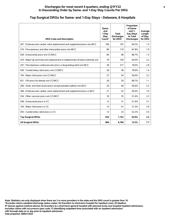#### **Discharges for most recent 4 quarters, ending Q1FY22 9 In Descending Order by Same- and 1-Day Stay Counts Per DRG**

#### **Top Surgical DRGs for Same- and 1-Day Stays - Delaware, 6 Hospitals**

| <b>DRG Code and Description</b>                                                   | Same-<br>and<br>1-Day<br>Stav<br>Count* | <b>Total</b><br><b>Discharges</b><br>for DRG* | Proportion<br>of Same-<br>and $1-$<br>Day Stays<br>to Total<br><b>Discharges</b> | Average<br>Length<br>of Stay<br>for DRG |
|-----------------------------------------------------------------------------------|-----------------------------------------|-----------------------------------------------|----------------------------------------------------------------------------------|-----------------------------------------|
| 267 : Endovascular cardiac valve replacement and supplement procs w/o MCC         | 166                                     | 197                                           | 84.3%                                                                            | 1.5                                     |
| 274 : Percutaneous and other intracardiac procs w/o MCC                           | 90                                      | 110                                           | 81.8%                                                                            | 1.9                                     |
| 039 : Extracranial procs w/o CC/MCC                                               | 85                                      | 98                                            | 86.7%                                                                            | 1.3                                     |
| 470 : Major hip and knee joint replacement or reattachment of lower extremity w/o | 70                                      | 159                                           | 44.0%                                                                            | 2.2                                     |
| 247 : Percutaneous cardiovascular procs w drug-eluting stent w/o MCC              | 39                                      | 217                                           | 18.0%                                                                            | 2.8                                     |
| 036 : Carotid artery stent procs w/o CC/MCC                                       | 30                                      | 38                                            | 78.9%                                                                            | 1.4                                     |
| 165 : Major chest procs w/o CC/MCC                                                | 27                                      | 54                                            | 50.0%                                                                            | 2.2                                     |
| 621 : OR procs for obesity w/o CC/MCC                                             | 26                                      | 29                                            | 89.7%                                                                            | 1.1                                     |
| 269 : Aortic and heart assist procs except pulsation balloon w/o MCC              | 24                                      | 49                                            | 49.0%                                                                            | 2.2                                     |
| 266 : Endovascular cardiac valve replacement and supplement procs w MCC           | 21                                      | 52                                            | 40.4%                                                                            | 7.0                                     |
| 254 : Other vascular procs w/o CC/MCC                                             | 18                                      | 35                                            | 51.4%                                                                            | 2.3                                     |
| 038 : Extracranial procs w CC                                                     | 13                                      | 31                                            | 41.9%                                                                            | 3.7                                     |
| 164 : Major chest procs w CC                                                      | 13                                      | 61                                            | 21.3%                                                                            | 3.9                                     |
| 035 : Carotid artery stent procs w CC                                             | 12                                      | 23                                            | 52.2%                                                                            | 5.0                                     |
| <b>Top Surgical DRGs</b>                                                          | 634                                     | 1,153                                         | 55.0%                                                                            | 2.5                                     |
| <b>All Surgical DRGs</b>                                                          | 894                                     | 6,769                                         | 13.2%                                                                            | 7.7                                     |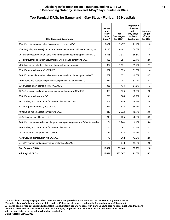# **Top Surgical DRGs for Same- and 1-Day Stays - Florida, 166 Hospitals**

| <b>DRG Code and Description</b>                                                   | Same-<br>and<br>1-Day<br>Stay<br>Count* | <b>Total</b><br><b>Discharges</b><br>for DRG* | Proportion<br>of Same-<br>and $1-$<br>Day Stays<br>to Total<br><b>Discharges</b> | Average<br>Length<br>of Stay<br>for DRG |
|-----------------------------------------------------------------------------------|-----------------------------------------|-----------------------------------------------|----------------------------------------------------------------------------------|-----------------------------------------|
| 274 : Percutaneous and other intracardiac procs w/o MCC                           | 2.472                                   | 3.477                                         | 71.1%                                                                            | 1.8                                     |
| 470 : Major hip and knee joint replacement or reattachment of lower extremity w/o | 2,216                                   | 6,162                                         | 36.0%                                                                            | 2.2                                     |
| 267 : Endovascular cardiac valve replacement and supplement procs w/o MCC         | 1.356                                   | 2,313                                         | 58.6%                                                                            | 1.9                                     |
| 247 : Percutaneous cardiovascular procs w drug-eluting stent w/o MCC              | 983                                     | 4,251                                         | 23.1%                                                                            | 2.6                                     |
| 483 : Major joint or limb reattachment procs of upper extremities                 | 922                                     | 1,671                                         | 55.2%                                                                            | 2.1                                     |
| 039 : Extracranial procs w/o CC/MCC                                               | 837                                     | 1,029                                         | 81.3%                                                                            | 1,4                                     |
| 266 : Endovascular cardiac valve replacement and supplement procs w MCC           | 669                                     | 1,672                                         | 40.0%                                                                            | 4.7                                     |
| 269 : Aortic and heart assist procs except pulsation balloon w/o MCC              | 471                                     | 757                                           | 62.2%                                                                            | 2.3                                     |
| 036 : Carotid artery stent procs w/o CC/MCC                                       | 353                                     | 434                                           | 81.3%                                                                            | 1.3                                     |
| 027 : Craniotomy and endovascular intracranial procs w/o CC/MCC                   | 308                                     | 526                                           | 58.6%                                                                            | 2.0                                     |
| 038 : Extracranial procs w CC                                                     | 273                                     | 580                                           | 47.1%                                                                            | 3.1                                     |
| 661 : Kidney and ureter procs for non-neoplasm w/o CC/MCC                         | 269                                     | 956                                           | 28.1%                                                                            | 2.4                                     |
| 621 : OR procs for obesity w/o CC/MCC                                             | 244                                     | 418                                           | 58.4%                                                                            | 1.5                                     |
| 460 : Spinal fusion except cervical w/o MCC                                       | 218                                     | 2,032                                         | 10.7%                                                                            | 3.6                                     |
| 472 : Cervical spinal fusion w CC                                                 | 213                                     | 805                                           | 26.5%                                                                            | 3.5                                     |
| 246 : Percutaneous cardiovascular procs w drug-eluting stent w MCC or 4+ arteries | 181                                     | 2,944                                         | 6.1%                                                                             | 5.6                                     |
| 660 : Kidney and ureter procs for non-neoplasm w CC                               | 180                                     | 1.481                                         | 12.2%                                                                            | 4.2                                     |
| 254 : Other vascular procs w/o CC/MCC                                             | 174                                     | 428                                           | 40.7%                                                                            | 2.3                                     |
| 473 : Cervical spinal fusion w/o CC/MCC                                           | 173                                     | 362                                           | 47.8%                                                                            | 2.0                                     |
| 244 : Permanent cardiac pacemaker implant w/o CC/MCC                              | 165                                     | 848                                           | 19.5%                                                                            | 2.6                                     |
| <b>Top Surgical DRGs</b>                                                          | 12,677                                  | 33,146                                        | 38.2%                                                                            | 2.8                                     |
| <b>All Surgical DRGs</b>                                                          | 18,681                                  | 133,507                                       | 14.0%                                                                            | 6.3                                     |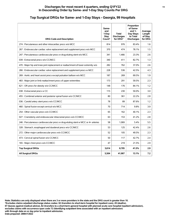#### **Top Surgical DRGs for Same- and 1-Day Stays - Georgia, 99 Hospitals**

| <b>DRG Code and Description</b>                                                   | Same-<br>and<br>1-Day<br><b>Stay</b><br>Count* | <b>Total</b><br><b>Discharges</b><br>for DRG* | Proportion<br>of Same-<br>and $1-$<br>Day Stays<br>to Total<br><b>Discharges</b> | Average<br>Length<br>of Stay<br>for DRG |
|-----------------------------------------------------------------------------------|------------------------------------------------|-----------------------------------------------|----------------------------------------------------------------------------------|-----------------------------------------|
| 274 : Percutaneous and other intracardiac procs w/o MCC                           | 814                                            | 976                                           | 83.4%                                                                            | 1.6                                     |
| 267 : Endovascular cardiac valve replacement and supplement procs w/o MCC         | 370                                            | 474                                           | 78.1%                                                                            | 1.5                                     |
| 247 : Percutaneous cardiovascular procs w drug-eluting stent w/o MCC              | 341                                            | 1.466                                         | 23.3%                                                                            | 2.6                                     |
| 039 : Extracranial procs w/o CC/MCC                                               | 340                                            | 411                                           | 82.7%                                                                            | 1.3                                     |
| 470 : Major hip and knee joint replacement or reattachment of lower extremity w/o | 282                                            | 762                                           | 37.0%                                                                            | 2.6                                     |
| 266 : Endovascular cardiac valve replacement and supplement procs w MCC           | 228                                            | 536                                           | 42.5%                                                                            | 4.3                                     |
| 269 : Aortic and heart assist procs except pulsation balloon w/o MCC              | 187                                            | 269                                           | 69.5%                                                                            | 1.9                                     |
| 483 : Major joint or limb reattachment procs of upper extremities                 | 173                                            | 291                                           | 59.5%                                                                            | 2.3                                     |
| 621 : OR procs for obesity w/o CC/MCC                                             | 148                                            | 176                                           | 84.1%                                                                            | 1.2                                     |
| 038 : Extracranial procs w CC                                                     | 115                                            | 230                                           | 50.0%                                                                            | 3.0                                     |
| 455 : Combined anterior and posterior spinal fusion w/o CC/MCC                    | 80                                             | 361                                           | 22.2%                                                                            | 2.8                                     |
| 036 : Carotid artery stent procs w/o CC/MCC                                       | 78                                             | 89                                            | 87.6%                                                                            | 1.2                                     |
| 460 : Spinal fusion except cervical w/o MCC                                       | 70                                             | 714                                           | 9.8%                                                                             | 3.9                                     |
| 254 : Other vascular procs w/o CC/MCC                                             | 65                                             | 162                                           | 40.1%                                                                            | 2.3                                     |
| 027 : Craniotomy and endovascular intracranial procs w/o CC/MCC                   | 63                                             | 153                                           | 41.2%                                                                            | 2.8                                     |
| 246 : Percutaneous cardiovascular procs w drug-eluting stent w MCC or 4+ arteries | 58                                             | 1,069                                         | 5.4%                                                                             | 5.5                                     |
| 328 : Stomach, esophageal and duodenal procs w/o CC/MCC                           | 53                                             | 125                                           | 42.4%                                                                            | 2.6                                     |
| 272 : Other major cardiovascular procs w/o CC/MCC                                 | 52                                             | 105                                           | 49.5%                                                                            | 2.3                                     |
| 473 : Cervical spinal fusion w/o CC/MCC                                           | 50                                             | 117                                           | 42.7%                                                                            | 2.4                                     |
| 165 : Major chest procs w/o CC/MCC                                                | 47                                             | 219                                           | 21.5%                                                                            | 2.9                                     |
| <b>Top Surgical DRGs</b>                                                          | 3,614                                          | 8,705                                         | 41.5%                                                                            | 2.9                                     |
| <b>All Surgical DRGs</b>                                                          | 5,504                                          | 41,907                                        | 13.1%                                                                            | 7.2                                     |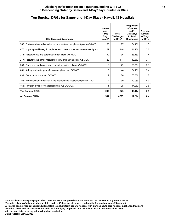| <b>DRG Code and Description</b>                                                   | Same-<br>and<br>1-Day<br>Stay<br>Count* | <b>Total</b><br><b>Discharges</b><br>for DRG* | Proportion<br>of Same-<br>and $1-$<br>Day Stays<br>to Total<br><b>Discharges</b> | Average<br>Length<br>of Stay<br>for DRG |
|-----------------------------------------------------------------------------------|-----------------------------------------|-----------------------------------------------|----------------------------------------------------------------------------------|-----------------------------------------|
| 267 : Endovascular cardiac valve replacement and supplement procs w/o MCC         | 65                                      | 77                                            | 84.4%                                                                            | 1.3                                     |
| 470 : Major hip and knee joint replacement or reattachment of lower extremity w/o | 62                                      | 148                                           | 41.9%                                                                            | 2.6                                     |
| 274 : Percutaneous and other intracardiac procs w/o MCC                           | 30                                      | 36                                            | 83.3%                                                                            | 1.4                                     |
| 247 : Percutaneous cardiovascular procs w drug-eluting stent w/o MCC              | 22                                      | 114                                           | 19.3%                                                                            | 3.1                                     |
| 269 : Aortic and heart assist procs except pulsation balloon w/o MCC              | 16                                      | 29                                            | 55.2%                                                                            | 2.3                                     |
| 661 : Kidney and ureter procs for non-neoplasm w/o CC/MCC                         | 15                                      | 44                                            | 34.1%                                                                            | 2.4                                     |
| 039 : Extracranial procs w/o CC/MCC                                               | 12                                      | 20                                            | 60.0%                                                                            | 1.7                                     |
| 266 : Endovascular cardiac valve replacement and supplement procs w MCC           | 12                                      | 30                                            | 40.0%                                                                            | 5.0                                     |
| 468 : Revision of hip or knee replacement w/o CC/MCC                              | 11                                      | 25                                            | 44.0%                                                                            | 2.6                                     |
| <b>Top Surgical DRGs</b>                                                          | 245                                     | 523                                           | 46.8%                                                                            | 2.5                                     |
| <b>All Surgical DRGs</b>                                                          | 504                                     | 4.505                                         | 11.2%                                                                            | 8.4                                     |

#### **Top Surgical DRGs for Same- and 1-Day Stays - Hawaii, 12 Hospitals**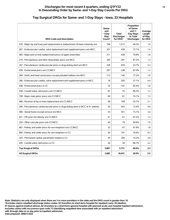#### **Discharges for most recent 4 quarters, ending Q1FY22 13 In Descending Order by Same- and 1-Day Stay Counts Per DRG**

# **Top Surgical DRGs for Same- and 1-Day Stays - Iowa, 33 Hospitals**

| <b>DRG Code and Description</b>                                                   | Same-<br>and<br>1-Day<br><b>Stay</b><br>Count* | <b>Total</b><br><b>Discharges</b><br>for DRG* | Proportion<br>of Same-<br>and 1-<br>Day Stays<br>to Total<br><b>Discharges</b> | Average<br>Length<br>of Stay<br>for DRG |
|-----------------------------------------------------------------------------------|------------------------------------------------|-----------------------------------------------|--------------------------------------------------------------------------------|-----------------------------------------|
| 470 : Major hip and knee joint replacement or reattachment of lower extremity w/o | 746                                            | 1,513                                         | 49.3%                                                                          | 1.9                                     |
| 267 : Endovascular cardiac valve replacement and supplement procs w/o MCC         | 321                                            | 439                                           | 73.1%                                                                          | 1.4                                     |
| 483 : Major joint or limb reattachment procs of upper extremities                 | 311                                            | 439                                           | 70.8%                                                                          | 1.6                                     |
| 274 : Percutaneous and other intracardiac procs w/o MCC                           | 245                                            | 281                                           | 87.2%                                                                          | 1.3                                     |
| 247 : Percutaneous cardiovascular procs w drug-eluting stent w/o MCC              | 228                                            | 676                                           | 33.7%                                                                          | 2.3                                     |
| 039 : Extracranial procs w/o CC/MCC                                               | 207                                            | 238                                           | 87.0%                                                                          | 1.2                                     |
| 269 : Aortic and heart assist procs except pulsation balloon w/o MCC              | 112                                            | 145                                           | 77.2%                                                                          | 1.6                                     |
| 266 : Endovascular cardiac valve replacement and supplement procs w MCC           | 76                                             | 205                                           | 37.1%                                                                          | 4.4                                     |
| 038 : Extracranial procs w CC                                                     | 70                                             | 107                                           | 65.4%                                                                          | 1.8                                     |
| 036 : Carotid artery stent procs w/o CC/MCC                                       | 67                                             | 75                                            | 89.3%                                                                          | $1.2$                                   |
| 708 : Major male pelvic procs w/o CC/MCC                                          | 60                                             | 81                                            | 74.1%                                                                          | 1.3                                     |
| 468 : Revision of hip or knee replacement w/o CC/MCC                              | 58                                             | 108                                           | 53.7%                                                                          | 2.1                                     |
| 246 : Percutaneous cardiovascular procs w drug-eluting stent w MCC or 4+ arteries | 55                                             | 442                                           | 12.4%                                                                          | 4.6                                     |
| 460 : Spinal fusion except cervical w/o MCC                                       | 53                                             | 351                                           | 15.1%                                                                          | 3.4                                     |
| 621 : OR procs for obesity w/o CC/MCC                                             | 41                                             | 61                                            | 67.2%                                                                          | 1.3                                     |
| 254 : Other vascular procs w/o CC/MCC                                             | 40                                             | 79                                            | 50.6%                                                                          | 1.8                                     |
| 661 : Kidney and ureter procs for non-neoplasm w/o CC/MCC                         | 32                                             | 67                                            | 47.8%                                                                          | 1.8                                     |
| 660 : Kidney and ureter procs for non-neoplasm w CC                               | 30                                             | 181                                           | 16.6%                                                                          | 4.2                                     |
| 243 : Permanent cardiac pacemaker implant w CC                                    | 29                                             | 204                                           | 14.2%                                                                          | 3.6                                     |
| 035 : Carotid artery stent procs w CC                                             | 26                                             | 39                                            | 66.7%                                                                          | 2.2                                     |
| <b>Top Surgical DRGs</b>                                                          | 2,807                                          | 5,731                                         | 49.0%                                                                          | 2.3                                     |
| <b>All Surgical DRGs</b>                                                          | 3,682                                          | 18,431                                        | 20.0%                                                                          | 5.5                                     |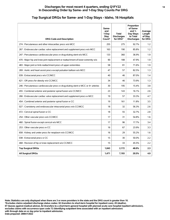#### **Top Surgical DRGs for Same- and 1-Day Stays - Idaho, 16 Hospitals**

| <b>DRG Code and Description</b>                                                   | Same-<br>and<br>1-Dav<br><b>Stav</b><br>Count* | <b>Total</b><br><b>Discharges</b><br>for DRG* | Proportion<br>of Same-<br>and $1-$<br>Day Stays<br>to Total<br><b>Discharges</b> | Average<br>Length<br>of Stay<br>for DRG |
|-----------------------------------------------------------------------------------|------------------------------------------------|-----------------------------------------------|----------------------------------------------------------------------------------|-----------------------------------------|
| 274 : Percutaneous and other intracardiac procs w/o MCC                           | 255                                            | 275                                           | 92.7%                                                                            | 1.2                                     |
| 267 : Endovascular cardiac valve replacement and supplement procs w/o MCC         | 163                                            | 190                                           | 85.8%                                                                            | 1.2                                     |
| 247 : Percutaneous cardiovascular procs w drug-eluting stent w/o MCC              | 133                                            | 360                                           | 36.9%                                                                            | 1.9                                     |
| 470 : Major hip and knee joint replacement or reattachment of lower extremity w/o | 90                                             | 188                                           | 47.9%                                                                            | 1.9                                     |
| 483 : Major joint or limb reattachment procs of upper extremities                 | 58                                             | 81                                            | 71.6%                                                                            | 1.9                                     |
| 269 : Aortic and heart assist procs except pulsation balloon w/o MCC              | 47                                             | 57                                            | 82.5%                                                                            | 1.3                                     |
| 039 : Extracranial procs w/o CC/MCC                                               | 40                                             | 46                                            | 87.0%                                                                            | 1.4                                     |
| 621 : OR procs for obesity w/o CC/MCC                                             | 34                                             | 46                                            | 73.9%                                                                            | 1.3                                     |
| 246 : Percutaneous cardiovascular procs w drug-eluting stent w MCC or 4+ arteries | 30                                             | 195                                           | 15.4%                                                                            | 3.8                                     |
| 455 : Combined anterior and posterior spinal fusion w/o CC/MCC                    | 23                                             | 143                                           | 16.1%                                                                            | 2.6                                     |
| 266 : Endovascular cardiac valve replacement and supplement procs w MCC           | 19                                             | 57                                            | 33.3%                                                                            | 4.7                                     |
| 454 : Combined anterior and posterior spinal fusion w CC                          | 19                                             | 161                                           | 11.8%                                                                            | 3.5                                     |
| 027 : Craniotomy and endovascular intracranial procs w/o CC/MCC                   | 18                                             | 32                                            | 56.3%                                                                            | 2.6                                     |
| 472 : Cervical spinal fusion w CC                                                 | 18                                             | 55                                            | 32.7%                                                                            | 2.8                                     |
| 254 : Other vascular procs w/o CC/MCC                                             | 17                                             | 31                                            | 54.8%                                                                            | 1.6                                     |
| 460 : Spinal fusion except cervical w/o MCC                                       | 17                                             | 96                                            | 17.7%                                                                            | 3.4                                     |
| 253 : Other vascular procs w CC                                                   | 16                                             | 67                                            | 23.9%                                                                            | 3.3                                     |
| 658 : Kidney and ureter procs for neoplasm w/o CC/MCC                             | 16                                             | 29                                            | 55.2%                                                                            | 1.6                                     |
| 038 : Extracranial procs w CC                                                     | 15                                             | 30                                            | 50.0%                                                                            | 2.2                                     |
| 468 : Revision of hip or knee replacement w/o CC/MCC                              | 15                                             | 33                                            | 45.5%                                                                            | 2.2                                     |
| <b>Top Surgical DRGs</b>                                                          | 1,043                                          | 2,172                                         | 48.0%                                                                            | 2.3                                     |
| <b>All Surgical DRGs</b>                                                          | 1,471                                          | 7,193                                         | 20.5%                                                                            | 4.9                                     |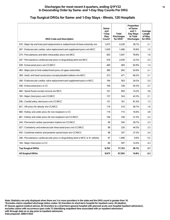#### **Top Surgical DRGs for Same- and 1-Day Stays - Illinois, 120 Hospitals**

| <b>DRG Code and Description</b>                                                   | Same-<br>and<br>1-Day<br>Stay<br>Count* | <b>Total</b><br><b>Discharges</b><br>for DRG* | Proportion<br>of Same-<br>and $1-$<br>Day Stays<br>to Total<br><b>Discharges</b> | Average<br>Length<br>of Stay<br>for DRG |
|-----------------------------------------------------------------------------------|-----------------------------------------|-----------------------------------------------|----------------------------------------------------------------------------------|-----------------------------------------|
| 470 : Major hip and knee joint replacement or reattachment of lower extremity w/o | 1,675                                   | 4,328                                         | 38.7%                                                                            | 2.1                                     |
| 267 : Endovascular cardiac valve replacement and supplement procs w/o MCC         | 1.039                                   | 1.468                                         | 70.8%                                                                            | 1.5                                     |
| 274 : Percutaneous and other intracardiac procs w/o MCC                           | 825                                     | 1,047                                         | 78.8%                                                                            | 1.6                                     |
| 247 : Percutaneous cardiovascular procs w drug-eluting stent w/o MCC              | 476                                     | 2,039                                         | 23.3%                                                                            | 2.5                                     |
| 039 : Extracranial procs w/o CC/MCC                                               | 400                                     | 483                                           | 82.8%                                                                            | 1,4                                     |
| 483 : Major joint or limb reattachment procs of upper extremities                 | 380                                     | 692                                           | 54.9%                                                                            | 2.1                                     |
| 269 : Aortic and heart assist procs except pulsation balloon w/o MCC              | 313                                     | 471                                           | 66.5%                                                                            | 2.1                                     |
| 266 : Endovascular cardiac valve replacement and supplement procs w MCC           | 194                                     | 563                                           | 34.5%                                                                            | 5.5                                     |
| 038 : Extracranial procs w CC                                                     | 169                                     | 336                                           | 50.3%                                                                            | 2.7                                     |
| 460 : Spinal fusion except cervical w/o MCC                                       | 141                                     | 993                                           | 14.2%                                                                            | 3.6                                     |
| 165 : Major chest procs w/o CC/MCC                                                | 137                                     | 324                                           | 42.3%                                                                            | 2.1                                     |
| 036 : Carotid artery stent procs w/o CC/MCC                                       | 131                                     | 161                                           | 81.4%                                                                            | 1.3                                     |
| 621 : OR procs for obesity w/o CC/MCC                                             | 119                                     | 210                                           | 56.7%                                                                            | 1.6                                     |
| 660 : Kidney and ureter procs for non-neoplasm w CC                               | 119                                     | 715                                           | 16.6%                                                                            | 3.8                                     |
| 661 : Kidney and ureter procs for non-neoplasm w/o CC/MCC                         | 106                                     | 336                                           | 31.5%                                                                            | 2.2                                     |
| 244 : Permanent cardiac pacemaker implant w/o CC/MCC                              | 99                                      | 345                                           | 28.7%                                                                            | 2.3                                     |
| 027 : Craniotomy and endovascular intracranial procs w/o CC/MCC                   | 98                                      | 220                                           | 44.5%                                                                            | 2.3                                     |
| 455 : Combined anterior and posterior spinal fusion w/o CC/MCC                    | 98                                      | 357                                           | 27.5%                                                                            | 2.4                                     |
| 246 : Percutaneous cardiovascular procs w drug-eluting stent w MCC or 4+ arteries | 97                                      | 1,468                                         | 6.6%                                                                             | 5.5                                     |
| 164 : Major chest procs w CC                                                      | 86                                      | 597                                           | 14.4%                                                                            | 4.3                                     |
| <b>Top Surgical DRGs</b>                                                          | 6,702                                   | 17,153                                        | 39.1%                                                                            | 2.7                                     |
| <b>All Surgical DRGs</b>                                                          | 9,973                                   | 67,503                                        | 14.8%                                                                            | 6.3                                     |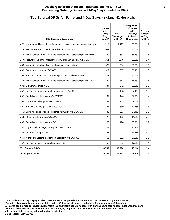#### **Top Surgical DRGs for Same- and 1-Day Stays - Indiana, 82 Hospitals**

| <b>DRG Code and Description</b>                                                   | Same-<br>and<br>1-Day<br>Stay<br>Count* | <b>Total</b><br><b>Discharges</b><br>for DRG* | Proportion<br>of Same-<br>and $1-$<br>Day Stays<br>to Total<br><b>Discharges</b> | Average<br>Length<br>of Stay<br>for DRG |
|-----------------------------------------------------------------------------------|-----------------------------------------|-----------------------------------------------|----------------------------------------------------------------------------------|-----------------------------------------|
| 470 : Major hip and knee joint replacement or reattachment of lower extremity w/o | 1,223                                   | 2,195                                         | 55.7%                                                                            | 1.7                                     |
| 274 : Percutaneous and other intracardiac procs w/o MCC                           | 682                                     | 822                                           | 83.0%                                                                            | 1.4                                     |
| 267 : Endovascular cardiac valve replacement and supplement procs w/o MCC         | 449                                     | 654                                           | 68.7%                                                                            | 1.6                                     |
| 247 : Percutaneous cardiovascular procs w drug-eluting stent w/o MCC              | 351                                     | 1,376                                         | 25.5%                                                                            | 2.4                                     |
| 483 : Major joint or limb reattachment procs of upper extremities                 | 322                                     | 530                                           | 60.8%                                                                            | 1.9                                     |
| 039 : Extracranial procs w/o CC/MCC                                               | 317                                     | 367                                           | 86.4%                                                                            | 1.3                                     |
| 269 : Aortic and heart assist procs except pulsation balloon w/o MCC              | 221                                     | 312                                           | 70.8%                                                                            | 2.0                                     |
| 266 : Endovascular cardiac valve replacement and supplement procs w MCC           | 189                                     | 387                                           | 48.8%                                                                            | 3.8                                     |
| 038 : Extracranial procs w CC                                                     | 134                                     | 212                                           | 63.2%                                                                            | 2.3                                     |
| 468 : Revision of hip or knee replacement w/o CC/MCC                              | 113                                     | 198                                           | 57.1%                                                                            | 1.9                                     |
| 036 : Carotid artery stent procs w/o CC/MCC                                       | 102                                     | 140                                           | 72.9%                                                                            | 1.4                                     |
| 708 : Major male pelvic procs w/o CC/MCC                                          | 94                                      | 135                                           | 69.6%                                                                            | 1.4                                     |
| 460 : Spinal fusion except cervical w/o MCC                                       | 92                                      | 860                                           | 10.7%                                                                            | 3.5                                     |
| 455 : Combined anterior and posterior spinal fusion w/o CC/MCC                    | 82                                      | 383                                           | 21.4%                                                                            | 2.5                                     |
| 254 : Other vascular procs w/o CC/MCC                                             | 77                                      | 185                                           | 41.6%                                                                            | 2.5                                     |
| 035 : Carotid artery stent procs w CC                                             | 66                                      | 124                                           | 53.2%                                                                            | 2.9                                     |
| 331 : Major small and large bowel procs w/o CC/MCC                                | 64                                      | 453                                           | 14.1%                                                                            | 3.3                                     |
| 253 : Other vascular procs w CC                                                   | 61                                      | 411                                           | 14.8%                                                                            | 5.1                                     |
| 661 : Kidney and ureter procs for non-neoplasm w/o CC/MCC                         | 60                                      | 222                                           | 27.0%                                                                            | 2.3                                     |
| 467 : Revision of hip or knee replacement w CC                                    | 57                                      | 332                                           | 17.2%                                                                            | 4.1                                     |
| <b>Top Surgical DRGs</b>                                                          | 4,756                                   | 10,298                                        | 46.2%                                                                            | 2.4                                     |
| <b>All Surgical DRGs</b>                                                          | 6,792                                   | 38,222                                        | 17.8%                                                                            | 5.6                                     |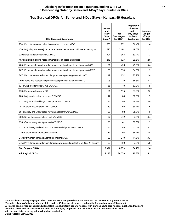#### **Top Surgical DRGs for Same- and 1-Day Stays - Kansas, 49 Hospitals**

| <b>DRG Code and Description</b>                                                   | Same-<br>and<br>1-Day<br><b>Stay</b><br>Count* | <b>Total</b><br><b>Discharges</b><br>for DRG* | Proportion<br>of Same-<br>and $1-$<br>Day Stays<br>to Total<br><b>Discharges</b> | Average<br>Length<br>of Stay<br>for DRG |
|-----------------------------------------------------------------------------------|------------------------------------------------|-----------------------------------------------|----------------------------------------------------------------------------------|-----------------------------------------|
| 274 : Percutaneous and other intracardiac procs w/o MCC                           | 666                                            | 771                                           | 86.4%                                                                            | 1.4                                     |
| 470 : Major hip and knee joint replacement or reattachment of lower extremity w/o | 625                                            | 3,184                                         | 19.6%                                                                            | 2.1                                     |
| 039 : Extracranial procs w/o CC/MCC                                               | 304                                            | 363                                           | 83.7%                                                                            | 1.3                                     |
| 483 : Major joint or limb reattachment procs of upper extremities                 | 248                                            | 627                                           | 39.6%                                                                            | 2.0                                     |
| 266 : Endovascular cardiac valve replacement and supplement procs w MCC           | 191                                            | 420                                           | 45.5%                                                                            | 3.4                                     |
| 267 : Endovascular cardiac valve replacement and supplement procs w/o MCC         | 183                                            | 334                                           | 54.8%                                                                            | 1.9                                     |
| 247 : Percutaneous cardiovascular procs w drug-eluting stent w/o MCC              | 149                                            | 652                                           | 22.9%                                                                            | 2.4                                     |
| 269 : Aortic and heart assist procs except pulsation balloon w/o MCC              | 95                                             | 139                                           | 68.3%                                                                            | 2.1                                     |
| 621 : OR procs for obesity w/o CC/MCC                                             | 88                                             | 140                                           | 62.9%                                                                            | 1.5                                     |
| 038 : Extracranial procs w CC                                                     | 61                                             | 115                                           | 53.0%                                                                            | 2.2                                     |
| 708 : Major male pelvic procs w/o CC/MCC                                          | 47                                             | 80                                            | 58.8%                                                                            | 1.5                                     |
| 331 : Major small and large bowel procs w/o CC/MCC                                | 42                                             | 298                                           | 14.1%                                                                            | 3.0                                     |
| 254 : Other vascular procs w/o CC/MCC                                             | 39                                             | 66                                            | 59.1%                                                                            | 1.6                                     |
| 661 : Kidney and ureter procs for non-neoplasm w/o CC/MCC                         | 38                                             | 98                                            | 38.8%                                                                            | 1.9                                     |
| 460 : Spinal fusion except cervical w/o MCC                                       | 37                                             | 472                                           | 7.8%                                                                             | 3.4                                     |
| 036 : Carotid artery stent procs w/o CC/MCC                                       | 36                                             | 41                                            | 87.8%                                                                            | 1.2                                     |
| 027 : Craniotomy and endovascular intracranial procs w/o CC/MCC                   | 34                                             | 83                                            | 41.0%                                                                            | 3.2                                     |
| 229 : Other cardiothoracic procs w/o MCC                                          | 34                                             | 98                                            | 34.7%                                                                            | 3.5                                     |
| 243 : Permanent cardiac pacemaker implant w CC                                    | 32                                             | 219                                           | 14.6%                                                                            | 3.3                                     |
| 246 : Percutaneous cardiovascular procs w drug-eluting stent w MCC or 4+ arteries | 32                                             | 459                                           | 7.0%                                                                             | 5.0                                     |
| <b>Top Surgical DRGs</b>                                                          | 2,981                                          | 8.659                                         | 34.4%                                                                            | 2.4                                     |
| <b>All Surgical DRGs</b>                                                          | 4,128                                          | 24,559                                        | 16.8%                                                                            | 5.1                                     |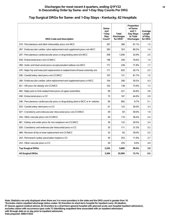# **Top Surgical DRGs for Same- and 1-Day Stays - Kentucky, 62 Hospitals**

| <b>DRG Code and Description</b>                                                   | Same-<br>and<br>1-Day<br><b>Stav</b><br>Count* | <b>Total</b><br><b>Discharges</b><br>for DRG* | Proportion<br>of Same-<br>and $1-$<br>Day Stays<br>to Total<br><b>Discharges</b> | Average<br>Length<br>of Stay<br>for DRG |
|-----------------------------------------------------------------------------------|------------------------------------------------|-----------------------------------------------|----------------------------------------------------------------------------------|-----------------------------------------|
| 274 : Percutaneous and other intracardiac procs w/o MCC                           | 297                                            | 366                                           | 81.1%                                                                            | 1.5                                     |
| 267 : Endovascular cardiac valve replacement and supplement procs w/o MCC         | 283                                            | 353                                           | 80.2%                                                                            | 1.4                                     |
| 247 : Percutaneous cardiovascular procs w drug-eluting stent w/o MCC              | 258                                            | 1.038                                         | 24.9%                                                                            | 2.5                                     |
| 039 : Extracranial procs w/o CC/MCC                                               | 196                                            | 256                                           | 76.6%                                                                            | 1,4                                     |
| 269 : Aortic and heart assist procs except pulsation balloon w/o MCC              | 171                                            | 238                                           | 71.8%                                                                            | 1.7                                     |
| 470 : Major hip and knee joint replacement or reattachment of lower extremity w/o | 171                                            | 655                                           | 26.1%                                                                            | 2.5                                     |
| 036 : Carotid artery stent procs w/o CC/MCC                                       | 107                                            | 131                                           | 81.7%                                                                            | 1.5                                     |
| 266 : Endovascular cardiac valve replacement and supplement procs w MCC           | 104                                            | 206                                           | 50.5%                                                                            | 4.3                                     |
| 621 : OR procs for obesity w/o CC/MCC                                             | 102                                            | 138                                           | 73.9%                                                                            | 1.3                                     |
| 483 : Major joint or limb reattachment procs of upper extremities                 | 99                                             | 221                                           | 44.8%                                                                            | 3.6                                     |
| 038 : Extracranial procs w CC                                                     | 75                                             | 167                                           | 44.9%                                                                            | 2.9                                     |
| 246 : Percutaneous cardiovascular procs w drug-eluting stent w MCC or 4+ arteries | 66                                             | 682                                           | 9.7%                                                                             | 5.1                                     |
| 035 : Carotid artery stent procs w CC                                             | 61                                             | 122                                           | 50.0%                                                                            | 3.3                                     |
| 027 : Craniotomy and endovascular intracranial procs w/o CC/MCC                   | 49                                             | 83                                            | 59.0%                                                                            | 1.8                                     |
| 254 : Other vascular procs w/o CC/MCC                                             | 40                                             | 110                                           | 36.4%                                                                            | 2.4                                     |
| 661 : Kidney and ureter procs for non-neoplasm w/o CC/MCC                         | 36                                             | 122                                           | 29.5%                                                                            | 2.4                                     |
| 026 : Craniotomy and endovascular intracranial procs w CC                         | 35                                             | 111                                           | 31.5%                                                                            | 5.2                                     |
| 468 : Revision of hip or knee replacement w/o CC/MCC                              | 32                                             | 82                                            | 39.0%                                                                            | 2.5                                     |
| 243 : Permanent cardiac pacemaker implant w CC                                    | 30                                             | 253                                           | 11.9%                                                                            | 3.7                                     |
| 253 : Other vascular procs w CC                                                   | 30                                             | 335                                           | 9.0%                                                                             | 4.9                                     |
| <b>Top Surgical DRGs</b>                                                          | 2,242                                          | 5,669                                         | 39.5%                                                                            | 2.9                                     |
| <b>All Surgical DRGs</b>                                                          | 3,394                                          | 25,959                                        | 13.1%                                                                            | 6.5                                     |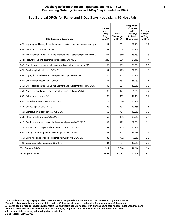#### **Discharges for most recent 4 quarters, ending Q1FY22 19 In Descending Order by Same- and 1-Day Stay Counts Per DRG**

#### **Top Surgical DRGs for Same- and 1-Day Stays - Louisiana, 86 Hospitals**

| <b>DRG Code and Description</b>                                                   | Same-<br>and<br>1-Day<br>Stay<br>Count* | Total<br><b>Discharges</b><br>for DRG* | Proportion<br>of Same-<br>and $1-$<br>Day Stays<br>to Total<br><b>Discharges</b> | Average<br>Length<br>of Stay<br>for DRG |
|-----------------------------------------------------------------------------------|-----------------------------------------|----------------------------------------|----------------------------------------------------------------------------------|-----------------------------------------|
| 470 : Major hip and knee joint replacement or reattachment of lower extremity w/o | 291                                     | 1,001                                  | 29.1%                                                                            | 2.2                                     |
| 039 : Extracranial procs w/o CC/MCC                                               | 281                                     | 364                                    | 77.2%                                                                            | 1,4                                     |
| 267 : Endovascular cardiac valve replacement and supplement procs w/o MCC         | 277                                     | 369                                    | 75.1%                                                                            | 1.5                                     |
| 274 : Percutaneous and other intracardiac procs w/o MCC                           | 249                                     | 306                                    | 81.4%                                                                            | 1.4                                     |
| 247 : Percutaneous cardiovascular procs w drug-eluting stent w/o MCC              | 165                                     | 709                                    | 23.3%                                                                            | 2.6                                     |
| 473 : Cervical spinal fusion w/o CC/MCC                                           | 131                                     | 193                                    | 67.9%                                                                            | 1.6                                     |
| 483 : Major joint or limb reattachment procs of upper extremities                 | 128                                     | 241                                    | 53.1%                                                                            | 2.3                                     |
| 621 : OR procs for obesity w/o CC/MCC                                             | 107                                     | 157                                    | 68.2%                                                                            | 1.4                                     |
| 266 : Endovascular cardiac valve replacement and supplement procs w MCC           | 92                                      | 201                                    | 45.8%                                                                            | 3.9                                     |
| 269 : Aortic and heart assist procs except pulsation balloon w/o MCC              | 87                                      | 141                                    | 61.7%                                                                            | 2.4                                     |
| 038 : Extracranial procs w CC                                                     | 80                                      | 162                                    | 49.4%                                                                            | 2.7                                     |
| 036 : Carotid artery stent procs w/o CC/MCC                                       | 73                                      | 86                                     | 84.9%                                                                            | 1.2                                     |
| 472 : Cervical spinal fusion w CC                                                 | 56                                      | 191                                    | 29.3%                                                                            | 3.8                                     |
| 460 : Spinal fusion except cervical w/o MCC                                       | 55                                      | 451                                    | 12.2%                                                                            | 3.6                                     |
| 254 : Other vascular procs w/o CC/MCC                                             | 53                                      | 136                                    | 39.0%                                                                            | 2.4                                     |
| 027 : Craniotomy and endovascular intracranial procs w/o CC/MCC                   | 39                                      | 122                                    | 32.0%                                                                            | 3.1                                     |
| 328 : Stomach, esophageal and duodenal procs w/o CC/MCC                           | 39                                      | 115                                    | 33.9%                                                                            | 3.0                                     |
| 661 : Kidney and ureter procs for non-neoplasm w/o CC/MCC                         | 38                                      | 113                                    | 33.6%                                                                            | 2.4                                     |
| 455 : Combined anterior and posterior spinal fusion w/o CC/MCC                    | 36                                      | 472                                    | 7.6%                                                                             | 2.6                                     |
| 708 : Major male pelvic procs w/o CC/MCC                                          | 34                                      | 84                                     | 40.5%                                                                            | 2.0                                     |
| <b>Top Surgical DRGs</b>                                                          | 2,311                                   | 5,614                                  | 41.2%                                                                            | 2.4                                     |
| <b>All Surgical DRGs</b>                                                          | 3,409                                   | 24,095                                 | 14.1%                                                                            | 6.1                                     |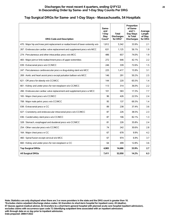#### **Top Surgical DRGs for Same- and 1-Day Stays - Massachusetts, 54 Hospitals**

| <b>DRG Code and Description</b>                                                   | Same-<br>and<br>1-Day<br>Stav<br>Count* | Total<br><b>Discharges</b><br>for DRG* | Proportion<br>of Same-<br>and $1-$<br>Day Stays<br>to Total<br><b>Discharges</b> | Average<br>Length<br>of Stay<br>for DRG |
|-----------------------------------------------------------------------------------|-----------------------------------------|----------------------------------------|----------------------------------------------------------------------------------|-----------------------------------------|
| 470 : Major hip and knee joint replacement or reattachment of lower extremity w/o | 1,812                                   | 5,342                                  | 33.9%                                                                            | 2.1                                     |
| 267 : Endovascular cardiac valve replacement and supplement procs w/o MCC         | 631                                     | 1,125                                  | 56.1%                                                                            | 1.9                                     |
| 274 : Percutaneous and other intracardiac procs w/o MCC                           | 486                                     | 657                                    | 74.0%                                                                            | 1.9                                     |
| 483 : Major joint or limb reattachment procs of upper extremities                 | 272                                     | 646                                    | 42.1%                                                                            | 2.2                                     |
| 039 : Extracranial procs w/o CC/MCC                                               | 246                                     | 339                                    | 72.6%                                                                            | 1.5                                     |
| 247 : Percutaneous cardiovascular procs w drug-eluting stent w/o MCC              | 225                                     | 1,417                                  | 15.9%                                                                            | 3.1                                     |
| 269 : Aortic and heart assist procs except pulsation balloon w/o MCC              | 146                                     | 291                                    | 50.2%                                                                            | 2.5                                     |
| 621 : OR procs for obesity w/o CC/MCC                                             | 144                                     | 220                                    | 65.5%                                                                            | 1.4                                     |
| 661 : Kidney and ureter procs for non-neoplasm w/o CC/MCC                         | 113                                     | 314                                    | 36.0%                                                                            | 2.2                                     |
| 266 : Endovascular cardiac valve replacement and supplement procs w MCC           | 101                                     | 583                                    | 17.3%                                                                            | 7.7                                     |
| 165 : Major chest procs w/o CC/MCC                                                | 96                                      | 426                                    | 22.5%                                                                            | 2.4                                     |
| 708 : Major male pelvic procs w/o CC/MCC                                          | 95                                      | 137                                    | 69.3%                                                                            | 1,4                                     |
| 038 : Extracranial procs w CC                                                     | 89                                      | 238                                    | 37.4%                                                                            | 3.6                                     |
| 027 : Craniotomy and endovascular intracranial procs w/o CC/MCC                   | 87                                      | 226                                    | 38.5%                                                                            | 2.3                                     |
| 036 : Carotid artery stent procs w/o CC/MCC                                       | 87                                      | 106                                    | 82.1%                                                                            | 1.3                                     |
| 328 : Stomach, esophageal and duodenal procs w/o CC/MCC                           | 81                                      | 226                                    | 35.8%                                                                            | 2.4                                     |
| 254 : Other vascular procs w/o CC/MCC                                             | 74                                      | 242                                    | 30.6%                                                                            | 2.8                                     |
| 164 : Major chest procs w CC                                                      | 67                                      | 678                                    | 9.9%                                                                             | 4.2                                     |
| 460 : Spinal fusion except cervical w/o MCC                                       | 67                                      | 974                                    | 6.9%                                                                             | 3.7                                     |
| 660 : Kidney and ureter procs for non-neoplasm w CC                               | 64                                      | 499                                    | 12.8%                                                                            | 3.6                                     |
| <b>Top Surgical DRGs</b>                                                          | 4,983                                   | 14,686                                 | 33.9%                                                                            | 2.7                                     |
| <b>All Surgical DRGs</b>                                                          | 7,411                                   | 52,050                                 | 14.2%                                                                            | 6.3                                     |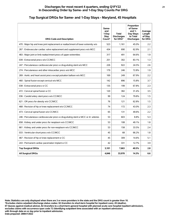#### **Top Surgical DRGs for Same- and 1-Day Stays - Maryland, 45 Hospitals**

| <b>DRG Code and Description</b>                                                   | Same-<br>and<br>1-Day<br><b>Stay</b><br>Count* | <b>Total</b><br><b>Discharges</b><br>for DRG* | Proportion<br>of Same-<br>and $1-$<br>Day Stays<br>to Total<br><b>Discharges</b> | Average<br>Length<br>of Stay<br>for DRG |
|-----------------------------------------------------------------------------------|------------------------------------------------|-----------------------------------------------|----------------------------------------------------------------------------------|-----------------------------------------|
| 470 : Major hip and knee joint replacement or reattachment of lower extremity w/o | 523                                            | 1,161                                         | 45.0%                                                                            | 2.2                                     |
| 267 : Endovascular cardiac valve replacement and supplement procs w/o MCC         | 434                                            | 690                                           | 62.9%                                                                            | 2.1                                     |
| 483 : Major joint or limb reattachment procs of upper extremities                 | 317                                            | 491                                           | 64.6%                                                                            | 1.9                                     |
| 039 : Extracranial procs w/o CC/MCC                                               | 251                                            | 302                                           | 83.1%                                                                            | 1.3                                     |
| 247 : Percutaneous cardiovascular procs w drug-eluting stent w/o MCC              | 226                                            | 922                                           | 24.5%                                                                            | 2.6                                     |
| 274 : Percutaneous and other intracardiac procs w/o MCC                           | 179                                            | 246                                           | 72.8%                                                                            | 1.9                                     |
| 269 : Aortic and heart assist procs except pulsation balloon w/o MCC              | 169                                            | 249                                           | 67.9%                                                                            | 2.2                                     |
| 460 : Spinal fusion except cervical w/o MCC                                       | 142                                            | 896                                           | 15.8%                                                                            | 3.7                                     |
| 038 : Extracranial procs w CC                                                     | 135                                            | 199                                           | 67.8%                                                                            | 2.3                                     |
| 472 : Cervical spinal fusion w CC                                                 | 120                                            | 382                                           | 31.4%                                                                            | 3.5                                     |
| 036 : Carotid artery stent procs w/o CC/MCC                                       | 99                                             | 124                                           | 79.8%                                                                            | 1.5                                     |
| 621 : OR procs for obesity w/o CC/MCC                                             | 76                                             | 121                                           | 62.8%                                                                            | 1.5                                     |
| 468 : Revision of hip or knee replacement w/o CC/MCC                              | 74                                             | 172                                           | 43.0%                                                                            | 2.3                                     |
| 473 : Cervical spinal fusion w/o CC/MCC                                           | 65                                             | 131                                           | 49.6%                                                                            | 2.2                                     |
| 246 : Percutaneous cardiovascular procs w drug-eluting stent w MCC or 4+ arteries | 53                                             | 603                                           | 8.8%                                                                             | 5.3                                     |
| 658 : Kidney and ureter procs for neoplasm w/o CC/MCC                             | 53                                             | 108                                           | 49.1%                                                                            | 1.8                                     |
| 661 : Kidney and ureter procs for non-neoplasm w/o CC/MCC                         | 53                                             | 158                                           | 33.5%                                                                            | 2.4                                     |
| 033 : Ventricular shunt procs w/o CC/MCC                                          | 45                                             | 68                                            | 66.2%                                                                            | 1.8                                     |
| 467 : Revision of hip or knee replacement w CC                                    | 45                                             | 309                                           | 14.6%                                                                            | 5.1                                     |
| 243 : Permanent cardiac pacemaker implant w CC                                    | 42                                             | 331                                           | 12.7%                                                                            | 3.9                                     |
| <b>Top Surgical DRGs</b>                                                          | 3,101                                          | 7,663                                         | 40.5%                                                                            | 2.8                                     |
| <b>All Surgical DRGs</b>                                                          | 4,846                                          | 33,978                                        | 14.3%                                                                            | 6.6                                     |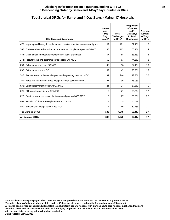| <b>DRG Code and Description</b>                                                   | Same-<br>and<br>1-Day<br>Stay<br>Count* | <b>Total</b><br><b>Discharges</b><br>for DRG* | Proportion<br>of Same-<br>and $1-$<br>Day Stays<br>to Total<br><b>Discharges</b> | Average<br>Length<br>of Stay<br>for DRG |
|-----------------------------------------------------------------------------------|-----------------------------------------|-----------------------------------------------|----------------------------------------------------------------------------------|-----------------------------------------|
| 470 : Major hip and knee joint replacement or reattachment of lower extremity w/o | 109                                     | 191                                           | 57.1%                                                                            | 1.8                                     |
| 267 : Endovascular cardiac valve replacement and supplement procs w/o MCC         | 98                                      | 163                                           | 60.1%                                                                            | 1.9                                     |
| 483 : Major joint or limb reattachment procs of upper extremities                 | 57                                      | 68                                            | 83.8%                                                                            | 1.6                                     |
| 274 : Percutaneous and other intracardiac procs w/o MCC                           | 50                                      | 67                                            | 74.6%                                                                            | 1.8                                     |
| 039 : Extracranial procs w/o CC/MCC                                               | 46                                      | 56                                            | 82.1%                                                                            | 1.6                                     |
| 038 : Extracranial procs w CC                                                     | 32                                      | 42                                            | 76.2%                                                                            | 1.9                                     |
| 247 : Percutaneous cardiovascular procs w drug-eluting stent w/o MCC              | 31                                      | 244                                           | 12.7%                                                                            | 3.0                                     |
| 269 : Aortic and heart assist procs except pulsation balloon w/o MCC              | 27                                      | 36                                            | 75.0%                                                                            | 1.7                                     |
| 036 : Carotid artery stent procs w/o CC/MCC                                       | 21                                      | 24                                            | 87.5%                                                                            | 1.2                                     |
| 621 : OR procs for obesity w/o CC/MCC                                             | 18                                      | 21                                            | 85.7%                                                                            | 1.1                                     |
| 027 : Craniotomy and endovascular intracranial procs w/o CC/MCC                   | 15                                      | 27                                            | 55.6%                                                                            | 2.5                                     |
| 468 : Revision of hip or knee replacement w/o CC/MCC                              | 15                                      | 25                                            | 60.0%                                                                            | 2.1                                     |
| 460 : Spinal fusion except cervical w/o MCC                                       | 14                                      | 46                                            | 30.4%                                                                            | 3.1                                     |
| <b>Top Surgical DRGs</b>                                                          | 533                                     | 1,010                                         | 52.8%                                                                            | 2.1                                     |
| <b>All Surgical DRGs</b>                                                          | 897                                     | 5,826                                         | 15.4%                                                                            | 7.1                                     |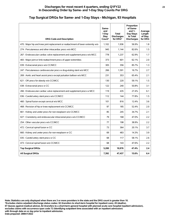#### **Top Surgical DRGs for Same- and 1-Day Stays - Michigan, 93 Hospitals**

| <b>DRG Code and Description</b>                                                   | Same-<br>and<br>1-Day<br>Stay<br>Count* | Total<br><b>Discharges</b><br>for DRG* | Proportion<br>of Same-<br>and $1-$<br>Day Stays<br>to Total<br><b>Discharges</b> | Average<br>Length<br>of Stay<br>for DRG |
|-----------------------------------------------------------------------------------|-----------------------------------------|----------------------------------------|----------------------------------------------------------------------------------|-----------------------------------------|
| 470 : Major hip and knee joint replacement or reattachment of lower extremity w/o | 1,102                                   | 1,936                                  | 56.9%                                                                            | 1.8                                     |
| 274 : Percutaneous and other intracardiac procs w/o MCC                           | 945                                     | 1,144                                  | 82.6%                                                                            | 1.5                                     |
| 267 : Endovascular cardiac valve replacement and supplement procs w/o MCC         | 778                                     | 1,237                                  | 62.9%                                                                            | 1.7                                     |
| 483 : Major joint or limb reattachment procs of upper extremities                 | 373                                     | 601                                    | 62.1%                                                                            | 2.0                                     |
| 039 : Extracranial procs w/o CC/MCC                                               | 305                                     | 356                                    | 85.7%                                                                            | 1.3                                     |
| 247 : Percutaneous cardiovascular procs w drug-eluting stent w/o MCC              | 266                                     | 1,591                                  | 16.7%                                                                            | 2.7                                     |
| 269 : Aortic and heart assist procs except pulsation balloon w/o MCC              | 231                                     | 353                                    | 65.4%                                                                            | 2.1                                     |
| 621 : OR procs for obesity w/o CC/MCC                                             | 130                                     | 220                                    | 59.1%                                                                            | 1.5                                     |
| 038 : Extracranial procs w CC                                                     | 122                                     | 240                                    | 50.8%                                                                            | 3.1                                     |
| 266 : Endovascular cardiac valve replacement and supplement procs w MCC           | 119                                     | 435                                    | 27.4%                                                                            | 6.1                                     |
| 036 : Carotid artery stent procs w/o CC/MCC                                       | 112                                     | 144                                    | 77.8%                                                                            | 1.5                                     |
| 460 : Spinal fusion except cervical w/o MCC                                       | 101                                     | 816                                    | 12.4%                                                                            | 3.6                                     |
| 468 : Revision of hip or knee replacement w/o CC/MCC                              | 97                                      | 185                                    | 52.4%                                                                            | 2.0                                     |
| 661 : Kidney and ureter procs for non-neoplasm w/o CC/MCC                         | 85                                      | 245                                    | 34.7%                                                                            | 2.1                                     |
| 027 : Craniotomy and endovascular intracranial procs w/o CC/MCC                   | 79                                      | 168                                    | 47.0%                                                                            | 2.2                                     |
| 254 : Other vascular procs w/o CC/MCC                                             | 77                                      | 198                                    | 38.9%                                                                            | 2.2                                     |
| 472 : Cervical spinal fusion w CC                                                 | 73                                      | 364                                    | 20.1%                                                                            | 3.7                                     |
| 660 : Kidney and ureter procs for non-neoplasm w CC                               | 69                                      | 483                                    | 14.3%                                                                            | 3.9                                     |
| 035 : Carotid artery stent procs w CC                                             | 68                                      | 117                                    | 58.1%                                                                            | 2.6                                     |
| 473 : Cervical spinal fusion w/o CC/MCC                                           | 68                                      | 143                                    | 47.6%                                                                            | 2.2                                     |
| <b>Top Surgical DRGs</b>                                                          | 5,200                                   | 10,976                                 | 47.4%                                                                            | 2.4                                     |
| <b>All Surgical DRGs</b>                                                          | 7,392                                   | 47,437                                 | 15.6%                                                                            | 6.4                                     |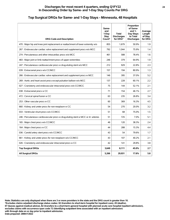#### **Top Surgical DRGs for Same- and 1-Day Stays - Minnesota, 48 Hospitals**

| <b>DRG Code and Description</b>                                                   | Same-<br>and<br>1-Day<br><b>Stay</b><br>Count* | <b>Total</b><br><b>Discharges</b><br>for DRG* | Proportion<br>of Same-<br>and $1-$<br>Day Stays<br>to Total<br><b>Discharges</b> | Average<br>Length<br>of Stay<br>for DRG |
|-----------------------------------------------------------------------------------|------------------------------------------------|-----------------------------------------------|----------------------------------------------------------------------------------|-----------------------------------------|
| 470 : Major hip and knee joint replacement or reattachment of lower extremity w/o | 855                                            | 1,679                                         | 50.9%                                                                            | 1.9                                     |
| 267 : Endovascular cardiac valve replacement and supplement procs w/o MCC         | 792                                            | 1,044                                         | 75.9%                                                                            | 1.4                                     |
| 274 : Percutaneous and other intracardiac procs w/o MCC                           | 461                                            | 588                                           | 78.4%                                                                            | 1.6                                     |
| 483 : Major joint or limb reattachment procs of upper extremities                 | 246                                            | 379                                           | 64.9%                                                                            | 1.9                                     |
| 247 : Percutaneous cardiovascular procs w drug-eluting stent w/o MCC              | 212                                            | 929                                           | 22.8%                                                                            | 2.3                                     |
| 039 : Extracranial procs w/o CC/MCC                                               | 157                                            | 194                                           | 80.9%                                                                            | 1.3                                     |
| 266 : Endovascular cardiac valve replacement and supplement procs w MCC           | 146                                            | 395                                           | 37.0%                                                                            | 5.2                                     |
| 269 : Aortic and heart assist procs except pulsation balloon w/o MCC              | 137                                            | 228                                           | 60.1%                                                                            | 2.2                                     |
| 027 : Craniotomy and endovascular intracranial procs w/o CC/MCC                   | 75                                             | 144                                           | 52.1%                                                                            | 2.1                                     |
| 038 : Extracranial procs w CC                                                     | 71                                             | 154                                           | 46.1%                                                                            | 2.7                                     |
| 472 : Cervical spinal fusion w CC                                                 | 63                                             | 235                                           | 26.8%                                                                            | 3.4                                     |
| 253 : Other vascular procs w CC                                                   | 60                                             | 369                                           | 16.3%                                                                            | 4.5                                     |
| 660 : Kidney and ureter procs for non-neoplasm w CC                               | 54                                             | 270                                           | 20.0%                                                                            | 3.2                                     |
| 033 : Ventricular shunt procs w/o CC/MCC                                          | 51                                             | 68                                            | 75.0%                                                                            | 1.5                                     |
| 246 : Percutaneous cardiovascular procs w drug-eluting stent w MCC or 4+ arteries | 51                                             | 725                                           | 7.0%                                                                             | 5.1                                     |
| 165 : Major chest procs w/o CC/MCC                                                | 46                                             | 120                                           | 38.3%                                                                            | 2.4                                     |
| 164 : Major chest procs w CC                                                      | 44                                             | 288                                           | 15.3%                                                                            | 4.4                                     |
| 036 : Carotid artery stent procs w/o CC/MCC                                       | 43                                             | 54                                            | 79.6%                                                                            | 1.7                                     |
| 661 : Kidney and ureter procs for non-neoplasm w/o CC/MCC                         | 43                                             | 107                                           | 40.2%                                                                            | 2.1                                     |
| 026 : Craniotomy and endovascular intracranial procs w CC                         | 42                                             | 141                                           | 29.8%                                                                            | 3.8                                     |
| <b>Top Surgical DRGs</b>                                                          | 3,649                                          | 8,111                                         | 45.0%                                                                            | 2.7                                     |
| <b>All Surgical DRGs</b>                                                          | 5,266                                          | 29,931                                        | 17.6%                                                                            | 5.8                                     |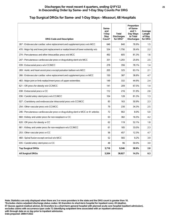# **Top Surgical DRGs for Same- and 1-Day Stays - Missouri, 68 Hospitals**

| <b>DRG Code and Description</b>                                                   | Same-<br>and<br>1-Day<br><b>Stay</b><br>Count* | <b>Total</b><br><b>Discharges</b><br>for DRG* | Proportion<br>of Same-<br>and $1-$<br>Day Stays<br>to Total<br><b>Discharges</b> | Average<br>Length<br>of Stay<br>for DRG |
|-----------------------------------------------------------------------------------|------------------------------------------------|-----------------------------------------------|----------------------------------------------------------------------------------|-----------------------------------------|
| 267 : Endovascular cardiac valve replacement and supplement procs w/o MCC         | 646                                            | 840                                           | 76.9%                                                                            | 1.5                                     |
| 470 : Major hip and knee joint replacement or reattachment of lower extremity w/o | 534                                            | 1.756                                         | 30.4%                                                                            | 2.2                                     |
| 274 : Percutaneous and other intracardiac procs w/o MCC                           | 492                                            | 605                                           | 81.3%                                                                            | 1.6                                     |
| 247 : Percutaneous cardiovascular procs w drug-eluting stent w/o MCC              | 331                                            | 1,293                                         | 25.6%                                                                            | 2.5                                     |
| 039 : Extracranial procs w/o CC/MCC                                               | 278                                            | 356                                           | 78.1%                                                                            | 1.4                                     |
| 269 : Aortic and heart assist procs except pulsation balloon w/o MCC              | 205                                            | 325                                           | 63.1%                                                                            | 2.1                                     |
| 266 : Endovascular cardiac valve replacement and supplement procs w MCC           | 150                                            | 387                                           | 38.8%                                                                            | 4.7                                     |
| 483 : Major joint or limb reattachment procs of upper extremities                 | 149                                            | 332                                           | 44.9%                                                                            | 2.4                                     |
| 621 : OR procs for obesity w/o CC/MCC                                             | 141                                            | 209                                           | 67.5%                                                                            | 1.4                                     |
| 038 : Extracranial procs w CC                                                     | 112                                            | 216                                           | 51.9%                                                                            | 2.6                                     |
| 036 : Carotid artery stent procs w/o CC/MCC                                       | 104                                            | 128                                           | 81.3%                                                                            | 1.3                                     |
| 027 : Craniotomy and endovascular intracranial procs w/o CC/MCC                   | 83                                             | 163                                           | 50.9%                                                                            | 2.3                                     |
| 254 : Other vascular procs w/o CC/MCC                                             | 79                                             | 230                                           | 34.3%                                                                            | 2.5                                     |
| 246 : Percutaneous cardiovascular procs w drug-eluting stent w MCC or 4+ arteries | 72                                             | 902                                           | 8.0%                                                                             | 5.0                                     |
| 660 : Kidney and ureter procs for non-neoplasm w CC                               | 63                                             | 382                                           | 16.5%                                                                            | 4.2                                     |
| 620 : OR procs for obesity w CC                                                   | 62                                             | 119                                           | 52.1%                                                                            | 1.8                                     |
| 661 : Kidney and ureter procs for non-neoplasm w/o CC/MCC                         | 61                                             | 185                                           | 33.0%                                                                            | 2.3                                     |
| 253 : Other vascular procs w CC                                                   | 56                                             | 457                                           | 12.3%                                                                            | 4.7                                     |
| 460 : Spinal fusion except cervical w/o MCC                                       | 52                                             | 565                                           | 9.2%                                                                             | 3.9                                     |
| 035 : Carotid artery stent procs w CC                                             | 48                                             | 96                                            | 50.0%                                                                            | 3.0                                     |
| <b>Top Surgical DRGs</b>                                                          | 3,718                                          | 9,546                                         | 38.9%                                                                            | 2.8                                     |
| <b>All Surgical DRGs</b>                                                          | 5,504                                          | 38,827                                        | 14.2%                                                                            | 6.3                                     |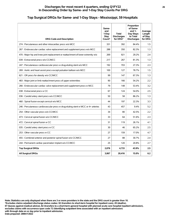#### **Top Surgical DRGs for Same- and 1-Day Stays - Mississippi, 59 Hospitals**

| <b>DRG Code and Description</b>                                                   | Same-<br>and<br>1-Dav<br><b>Stav</b><br>Count* | <b>Total</b><br><b>Discharges</b><br>for DRG* | Proportion<br>of Same-<br>and $1-$<br>Day Stays<br>to Total<br><b>Discharges</b> | Average<br>Length<br>of Stay<br>for DRG |
|-----------------------------------------------------------------------------------|------------------------------------------------|-----------------------------------------------|----------------------------------------------------------------------------------|-----------------------------------------|
| 274 : Percutaneous and other intracardiac procs w/o MCC                           | 331                                            | 392                                           | 84.4%                                                                            | 1.5                                     |
| 267 : Endovascular cardiac valve replacement and supplement procs w/o MCC         | 288                                            | 350                                           | 82.3%                                                                            | 1.3                                     |
| 470 : Major hip and knee joint replacement or reattachment of lower extremity w/o | 269                                            | 921                                           | 29.2%                                                                            | 2.4                                     |
| 039 : Extracranial procs w/o CC/MCC                                               | 217                                            | 267                                           | 81.3%                                                                            | 1.3                                     |
| 247 : Percutaneous cardiovascular procs w drug-eluting stent w/o MCC              | 192                                            | 703                                           | 27.3%                                                                            | 2.3                                     |
| 269 : Aortic and heart assist procs except pulsation balloon w/o MCC              | 100                                            | 127                                           | 78.7%                                                                            | 1.5                                     |
| 621 : OR procs for obesity w/o CC/MCC                                             | 99                                             | 147                                           | 67.3%                                                                            | 1.3                                     |
| 483 : Major joint or limb reattachment procs of upper extremities                 | 90                                             | 166                                           | 54.2%                                                                            | 2.2                                     |
| 266 : Endovascular cardiac valve replacement and supplement procs w MCC           | 79                                             | 148                                           | 53.4%                                                                            | 3.2                                     |
| 038 : Extracranial procs w CC                                                     | 67                                             | 124                                           | 54.0%                                                                            | 2.5                                     |
| 036 : Carotid artery stent procs w/o CC/MCC                                       | 50                                             | 58                                            | 86.2%                                                                            | 1.3                                     |
| 460 : Spinal fusion except cervical w/o MCC                                       | 44                                             | 197                                           | 22.3%                                                                            | 3.3                                     |
| 246 : Percutaneous cardiovascular procs w drug-eluting stent w MCC or 4+ arteries | 43                                             | 457                                           | 9.4%                                                                             | 5.2                                     |
| 254 : Other vascular procs w/o CC/MCC                                             | 34                                             | 80                                            | 42.5%                                                                            | 2.2                                     |
| 473 : Cervical spinal fusion w/o CC/MCC                                           | 33                                             | 64                                            | 51.6%                                                                            | 2.3                                     |
| 472 : Cervical spinal fusion w CC                                                 | 31                                             | 119                                           | 26.1%                                                                            | 4.1                                     |
| 035 : Carotid artery stent procs w CC                                             | 30                                             | 46                                            | 65.2%                                                                            | 2.5                                     |
| 253 : Other vascular procs w CC                                                   | 27                                             | 159                                           | 17.0%                                                                            | 4.7                                     |
| 455 : Combined anterior and posterior spinal fusion w/o CC/MCC                    | 27                                             | 88                                            | 30.7%                                                                            | 2.4                                     |
| 244 : Permanent cardiac pacemaker implant w/o CC/MCC                              | 25                                             | 120                                           | 20.8%                                                                            | 2.7                                     |
| <b>Top Surgical DRGs</b>                                                          | 2.076                                          | 4.733                                         | 43.9%                                                                            | 2.5                                     |
| <b>All Surgical DRGs</b>                                                          | 3,067                                          | 20,416                                        | 15.0%                                                                            | 6.2                                     |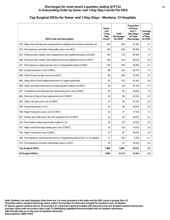#### **Top Surgical DRGs for Same- and 1-Day Stays - Montana, 13 Hospitals**

| <b>DRG Code and Description</b>                                                   | Same-<br>and<br>1-Day<br>Stay<br>Count* | <b>Total</b><br><b>Discharges</b><br>for DRG* | Proportion<br>of Same-<br>and $1-$<br>Day Stays<br>to Total<br><b>Discharges</b> | Average<br>Length<br>of Stay<br>for DRG |
|-----------------------------------------------------------------------------------|-----------------------------------------|-----------------------------------------------|----------------------------------------------------------------------------------|-----------------------------------------|
| 470 : Major hip and knee joint replacement or reattachment of lower extremity w/o | 270                                     | 520                                           | 51.9%                                                                            | 2.1                                     |
| 274 : Percutaneous and other intracardiac procs w/o MCC                           | 183                                     | 209                                           | 87.6%                                                                            | 1.3                                     |
| 267 : Endovascular cardiac valve replacement and supplement procs w/o MCC         | 149                                     | 170                                           | 87.6%                                                                            | 1.2                                     |
| 266 : Endovascular cardiac valve replacement and supplement procs w MCC           | 140                                     | 210                                           | 66.7%                                                                            | 2.4                                     |
| 247 : Percutaneous cardiovascular procs w drug-eluting stent w/o MCC              | 124                                     | 358                                           | 34.6%                                                                            | 2.1                                     |
| 039 : Extracranial procs w/o CC/MCC                                               | 86                                      | 104                                           | 82.7%                                                                            | 1.3                                     |
| 460 : Spinal fusion except cervical w/o MCC                                       | 85                                      | 226                                           | 37.6%                                                                            | 2.7                                     |
| 483 : Major joint or limb reattachment procs of upper extremities                 | 81                                      | 132                                           | 61.4%                                                                            | 2.0                                     |
| 269 : Aortic and heart assist procs except pulsation balloon w/o MCC              | 40                                      | 65                                            | 61.5%                                                                            | 2.1                                     |
| 027 : Craniotomy and endovascular intracranial procs w/o CC/MCC                   | 34                                      | 62                                            | 54.8%                                                                            | 1.9                                     |
| 468 : Revision of hip or knee replacement w/o CC/MCC                              | 30                                      | 69                                            | 43.5%                                                                            | 2.2                                     |
| 254 : Other vascular procs w/o CC/MCC                                             | 27                                      | 65                                            | 41.5%                                                                            | 2.4                                     |
| 038 : Extracranial procs w CC                                                     | 24                                      | 49                                            | 49.0%                                                                            | 2.5                                     |
| 708 : Major male pelvic procs w/o CC/MCC                                          | 24                                      | 31                                            | 77.4%                                                                            | 1.3                                     |
| 661 : Kidney and ureter procs for non-neoplasm w/o CC/MCC                         | 22                                      | 50                                            | 44.0%                                                                            | $2.2\phantom{0}$                        |
| 243 : Permanent cardiac pacemaker implant w CC                                    | 20                                      | 87                                            | 23.0%                                                                            | 3.3                                     |
| 331 : Major small and large bowel procs w/o CC/MCC                                | 19                                      | 134                                           | 14.2%                                                                            | 3.3                                     |
| 165 : Major chest procs w/o CC/MCC                                                | 17                                      | 47                                            | 36.2%                                                                            | 2.4                                     |
| 246 : Percutaneous cardiovascular procs w drug-eluting stent w MCC or 4+ arteries | 17                                      | 182                                           | 9.3%                                                                             | 4.1                                     |
| 273 : Percutaneous and other intracardiac procs w MCC                             | 16                                      | 37                                            | 43.2%                                                                            | 4.2                                     |
| <b>Top Surgical DRGs</b>                                                          | 1,408                                   | 2,807                                         | 50.2%                                                                            | 2.3                                     |
| <b>All Surgical DRGs</b>                                                          | 1,895                                   | 8,113                                         | 23.4%                                                                            | 5.3                                     |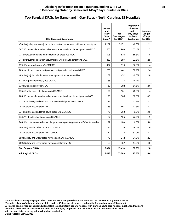# **Top Surgical DRGs for Same- and 1-Day Stays - North Carolina, 85 Hospitals**

| <b>DRG Code and Description</b>                                                   | Same-<br>and<br>1-Day<br><b>Stay</b><br>Count* | Total<br><b>Discharges</b><br>for DRG* | Proportion<br>of Same-<br>and $1-$<br>Day Stays<br>to Total<br><b>Discharges</b> | Average<br>Length<br>of Stay<br>for DRG |
|-----------------------------------------------------------------------------------|------------------------------------------------|----------------------------------------|----------------------------------------------------------------------------------|-----------------------------------------|
| 470 : Major hip and knee joint replacement or reattachment of lower extremity w/o | 1,287                                          | 3,151                                  | 40.8%                                                                            | 2.1                                     |
| 267 : Endovascular cardiac valve replacement and supplement procs w/o MCC         | 605                                            | 969                                    | 62.4%                                                                            | 1.7                                     |
| 274 : Percutaneous and other intracardiac procs w/o MCC                           | 598                                            | 876                                    | 68.3%                                                                            | 1.8                                     |
| 247 : Percutaneous cardiovascular procs w drug-eluting stent w/o MCC              | 430                                            | 1,888                                  | 22.8%                                                                            | 2.5                                     |
| 039 : Extracranial procs w/o CC/MCC                                               | 427                                            | 516                                    | 82.8%                                                                            | 1.4                                     |
| 269 : Aortic and heart assist procs except pulsation balloon w/o MCC              | 265                                            | 441                                    | 60.1%                                                                            | 2.4                                     |
| 483 : Major joint or limb reattachment procs of upper extremities                 | 182                                            | 452                                    | 40.3%                                                                            | 2.8                                     |
| 621 : OR procs for obesity w/o CC/MCC                                             | 168                                            | 225                                    | 74.7%                                                                            | 1.3                                     |
| 038 : Extracranial procs w CC                                                     | 160                                            | 292                                    | 54.8%                                                                            | 2.6                                     |
| 036 : Carotid artery stent procs w/o CC/MCC                                       | 126                                            | 161                                    | 78.3%                                                                            | 1.4                                     |
| 266 : Endovascular cardiac valve replacement and supplement procs w MCC           | 120                                            | 366                                    | 32.8%                                                                            | 4.7                                     |
| 027 : Craniotomy and endovascular intracranial procs w/o CC/MCC                   | 113                                            | 271                                    | 41.7%                                                                            | 2.3                                     |
| 253 : Other vascular procs w CC                                                   | 83                                             | 661                                    | 12.6%                                                                            | 5.3                                     |
| 331 : Major small and large bowel procs w/o CC/MCC                                | 78                                             | 788                                    | 9.9%                                                                             | 3.5                                     |
| 033 : Ventricular shunt procs w/o CC/MCC                                          | 77                                             | 106                                    | 72.6%                                                                            | 1.9                                     |
| 246 : Percutaneous cardiovascular procs w drug-eluting stent w MCC or 4+ arteries | 77                                             | 1,188                                  | 6.5%                                                                             | 5.0                                     |
| 708 : Major male pelvic procs w/o CC/MCC                                          | 76                                             | 128                                    | 59.4%                                                                            | 1.6                                     |
| 254 : Other vascular procs w/o CC/MCC                                             | 72                                             | 232                                    | 31.0%                                                                            | 2.7                                     |
| 658 : Kidney and ureter procs for neoplasm w/o CC/MCC                             | 72                                             | 212                                    | 34.0%                                                                            | 2.2                                     |
| 660 : Kidney and ureter procs for non-neoplasm w CC                               | 68                                             | 487                                    | 14.0%                                                                            | 4.0                                     |
| <b>Top Surgical DRGs</b>                                                          | 5.084                                          | 13,410                                 | 37.9%                                                                            | 2.8                                     |
| <b>All Surgical DRGs</b>                                                          | 7,493                                          | 55,709                                 | 13.5%                                                                            | 6.4                                     |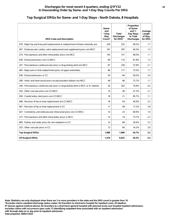#### **Top Surgical DRGs for Same- and 1-Day Stays - North Dakota, 8 Hospitals**

| <b>DRG Code and Description</b>                                                   | Same-<br>and<br>1-Dav<br>Stay<br>Count* | Total<br><b>Discharges</b><br>for DRG* | Proportion<br>of Same-<br>and $1-$<br>Day Stays<br>to Total<br><b>Discharges</b> | Average<br>Length<br>of Stay<br>for DRG |
|-----------------------------------------------------------------------------------|-----------------------------------------|----------------------------------------|----------------------------------------------------------------------------------|-----------------------------------------|
| 470 : Major hip and knee joint replacement or reattachment of lower extremity w/o | 230                                     | 332                                    | 69.3%                                                                            | 1.7                                     |
| 267 : Endovascular cardiac valve replacement and supplement procs w/o MCC         | 191                                     | 297                                    | 64.3%                                                                            | 1.5                                     |
| 274 : Percutaneous and other intracardiac procs w/o MCC                           | 145                                     | 151                                    | 96.0%                                                                            | 1.1                                     |
| 039 : Extracranial procs w/o CC/MCC                                               | 90                                      | 110                                    | 81.8%                                                                            | 1.3                                     |
| 247 : Percutaneous cardiovascular procs w drug-eluting stent w/o MCC              | 87                                      | 230                                    | 37.8%                                                                            | 2.1                                     |
| 483 : Major joint or limb reattachment procs of upper extremities                 | 86                                      | 117                                    | 73.5%                                                                            | 1.7                                     |
| 038 : Extracranial procs w CC                                                     | 50                                      | 84                                     | 59.5%                                                                            | 2.0                                     |
| 269 : Aortic and heart assist procs except pulsation balloon w/o MCC              | 48                                      | 66                                     | 72.7%                                                                            | 1.7                                     |
| 246 : Percutaneous cardiovascular procs w drug-eluting stent w MCC or 4+ arteries | 34                                      | 202                                    | 16.8%                                                                            | 4.5                                     |
| 254 : Other vascular procs w/o CC/MCC                                             | 19                                      | 46                                     | 41.3%                                                                            | 2.1                                     |
| 036 : Carotid artery stent procs w/o CC/MCC                                       | 18                                      | 21                                     | 85.7%                                                                            | 1.1                                     |
| 468 : Revision of hip or knee replacement w/o CC/MCC                              | 18                                      | 44                                     | 40.9%                                                                            | 2.2                                     |
| 467 : Revision of hip or knee replacement w CC                                    | 17                                      | 99                                     | 17.2%                                                                            | 3.8                                     |
| 027 : Craniotomy and endovascular intracranial procs w/o CC/MCC                   | 14                                      | 23                                     | 60.9%                                                                            | 1.8                                     |
| 273 : Percutaneous and other intracardiac procs w MCC                             | 14                                      | 19                                     | 73.7%                                                                            | 2.3                                     |
| 660 : Kidney and ureter procs for non-neoplasm w CC                               | 14                                      | 68                                     | 20.6%                                                                            | 3.3                                     |
| 253 : Other vascular procs w CC                                                   | 13                                      | 80                                     | 16.3%                                                                            | 3.9                                     |
| <b>Top Surgical DRGs</b>                                                          | 1,088                                   | 1,989                                  | 54.7%                                                                            | 2.2                                     |
| <b>All Surgical DRGs</b>                                                          | 1,410                                   | 6,933                                  | 20.3%                                                                            | 5.5                                     |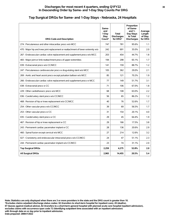#### **Top Surgical DRGs for Same- and 1-Day Stays - Nebraska, 24 Hospitals**

| <b>DRG Code and Description</b>                                                   | Same-<br>and<br>1-Day<br>Stay<br>Count* | <b>Total</b><br><b>Discharges</b><br>for DRG* | Proportion<br>of Same-<br>and $1-$<br>Day Stays<br>to Total<br><b>Discharges</b> | Average<br>Length<br>of Stay<br>for DRG |
|-----------------------------------------------------------------------------------|-----------------------------------------|-----------------------------------------------|----------------------------------------------------------------------------------|-----------------------------------------|
| 274 : Percutaneous and other intracardiac procs w/o MCC                           | 747                                     | 781                                           | 95.6%                                                                            | 1.1                                     |
| 470 : Major hip and knee joint replacement or reattachment of lower extremity w/o | 242                                     | 691                                           | 35.0%                                                                            | 2.0                                     |
| 267 : Endovascular cardiac valve replacement and supplement procs w/o MCC         | 203                                     | 454                                           | 44.7%                                                                            | 1.8                                     |
| 483 : Major joint or limb reattachment procs of upper extremities                 | 194                                     | 298                                           | 65.1%                                                                            | 1.7                                     |
| 039 : Extracranial procs w/o CC/MCC                                               | 141                                     | 159                                           | 88.7%                                                                            | 1.2                                     |
| 247 : Percutaneous cardiovascular procs w drug-eluting stent w/o MCC              | 105                                     | 362                                           | 29.0%                                                                            | 2.1                                     |
| 269 : Aortic and heart assist procs except pulsation balloon w/o MCC              | 85                                      | 121                                           | 70.2%                                                                            | 1.9                                     |
| 266 : Endovascular cardiac valve replacement and supplement procs w MCC           | 77                                      | 149                                           | 51.7%                                                                            | 3.1                                     |
| 038 : Extracranial procs w CC                                                     | 71                                      | 106                                           | 67.0%                                                                            | 1.8                                     |
| 229 : Other cardiothoracic procs w/o MCC                                          | 68                                      | 108                                           | 63.0%                                                                            | 2.2                                     |
| 036 : Carotid artery stent procs w/o CC/MCC                                       | 56                                      | 65                                            | 86.2%                                                                            | 1.2                                     |
| 468 : Revision of hip or knee replacement w/o CC/MCC                              | 40                                      | 76                                            | 52.6%                                                                            | 1.7                                     |
| 254 : Other vascular procs w/o CC/MCC                                             | 39                                      | 69                                            | 56.5%                                                                            | 1.7                                     |
| 253 : Other vascular procs w CC                                                   | 31                                      | 154                                           | 20.1%                                                                            | 4.0                                     |
| 035 : Carotid artery stent procs w CC                                             | 29                                      | 45                                            | 64.4%                                                                            | 1.9                                     |
| 467 : Revision of hip or knee replacement w CC                                    | 29                                      | 166                                           | 17.5%                                                                            | 3.8                                     |
| 243 : Permanent cardiac pacemaker implant w CC                                    | 28                                      | 136                                           | 20.6%                                                                            | 2.9                                     |
| 460 : Spinal fusion except cervical w/o MCC                                       | 27                                      | 214                                           | 12.6%                                                                            | 3.2                                     |
| 027 : Craniotomy and endovascular intracranial procs w/o CC/MCC                   | 24                                      | 47                                            | 51.1%                                                                            | 2.3                                     |
| 244 : Permanent cardiac pacemaker implant w/o CC/MCC                              | 23                                      | 74                                            | 31.1%                                                                            | 2.0                                     |
| <b>Top Surgical DRGs</b>                                                          | 2,259                                   | 4,275                                         | 52.8%                                                                            | 2.0                                     |
| <b>All Surgical DRGs</b>                                                          | 2,965                                   | 14,455                                        | 20.5%                                                                            | 5.4                                     |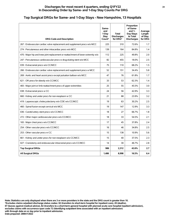#### **Top Surgical DRGs for Same- and 1-Day Stays - New Hampshire, 13 Hospitals**

| <b>DRG Code and Description</b>                                                   | Same-<br>and<br>1-Day<br>Stay<br>Count* | Total<br><b>Discharges</b><br>for DRG* | Proportion<br>of Same-<br>and $1-$<br>Day Stays<br>to Total<br><b>Discharges</b> | Average<br>Length<br>of Stay<br>for DRG |
|-----------------------------------------------------------------------------------|-----------------------------------------|----------------------------------------|----------------------------------------------------------------------------------|-----------------------------------------|
| 267 : Endovascular cardiac valve replacement and supplement procs w/o MCC         | 225                                     | 310                                    | 72.6%                                                                            | 1.7                                     |
| 274 : Percutaneous and other intracardiac procs w/o MCC                           | 139                                     | 164                                    | 84.8%                                                                            | 1.4                                     |
| 470 : Major hip and knee joint replacement or reattachment of lower extremity w/o | 112                                     | 225                                    | 49.8%                                                                            | 2.0                                     |
| 247 : Percutaneous cardiovascular procs w drug-eluting stent w/o MCC              | 82                                      | 455                                    | 18.0%                                                                            | 2.5                                     |
| 039 : Extracranial procs w/o CC/MCC                                               | 75                                      | 110                                    | 68.2%                                                                            | 1.5                                     |
| 266 : Endovascular cardiac valve replacement and supplement procs w MCC           | 52                                      | 151                                    | 34.4%                                                                            | 5.8                                     |
| 269 : Aortic and heart assist procs except pulsation balloon w/o MCC              | 47                                      | 76                                     | 61.8%                                                                            | 1.7                                     |
| 621 : OR procs for obesity w/o CC/MCC                                             | 33                                      | 53                                     | 62.3%                                                                            | 1.4                                     |
| 483 : Major joint or limb reattachment procs of upper extremities                 | 25                                      | 55                                     | 45.5%                                                                            | 3.0                                     |
| 038 : Extracranial procs w CC                                                     | 24                                      | 56                                     | 42.9%                                                                            | 3.3                                     |
| 660 : Kidney and ureter procs for non-neoplasm w CC                               | 21                                      | 88                                     | 23.9%                                                                            | 3.2                                     |
| 419 : Laparoscopic cholecystectomy w/o CDE w/o CC/MCC                             | 19                                      | 63                                     | 30.2%                                                                            | 2.5                                     |
| 460 : Spinal fusion except cervical w/o MCC                                       | 19                                      | 147                                    | 12.9%                                                                            | 3.3                                     |
| 036 : Carotid artery stent procs w/o CC/MCC                                       | 18                                      | 27                                     | 66.7%                                                                            | 1.8                                     |
| 272 : Other major cardiovascular procs w/o CC/MCC                                 | 18                                      | 33                                     | 54.5%                                                                            | 2.1                                     |
| 165 : Major chest procs w/o CC/MCC                                                | 17                                      | 45                                     | 37.8%                                                                            | 2.4                                     |
| 254 : Other vascular procs w/o CC/MCC                                             | 16                                      | 46                                     | 34.8%                                                                            | 2.5                                     |
| 253 : Other vascular procs w CC                                                   | 15                                      | 138                                    | 10.9%                                                                            | 5.6                                     |
| 661 : Kidney and ureter procs for non-neoplasm w/o CC/MCC                         | 15                                      | 40                                     | 37.5%                                                                            | 2.3                                     |
| 027 : Craniotomy and endovascular intracranial procs w/o CC/MCC                   | 14                                      | 30                                     | 46.7%                                                                            | 2.8                                     |
| <b>Top Surgical DRGs</b>                                                          | 986                                     | 2,312                                  | 42.6%                                                                            | 2.7                                     |
| <b>All Surgical DRGs</b>                                                          | 1,486                                   | 8,998                                  | 16.5%                                                                            | 6.4                                     |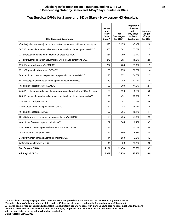#### **Top Surgical DRGs for Same- and 1-Day Stays - New Jersey, 63 Hospitals**

| <b>DRG Code and Description</b>                                                   | Same-<br>and<br>1-Day<br><b>Stay</b><br>Count* | <b>Total</b><br><b>Discharges</b><br>for DRG* | Proportion<br>of Same-<br>and $1-$<br>Day Stays<br>to Total<br><b>Discharges</b> | Average<br>Length<br>of Stay<br>for DRG |
|-----------------------------------------------------------------------------------|------------------------------------------------|-----------------------------------------------|----------------------------------------------------------------------------------|-----------------------------------------|
| 470 : Major hip and knee joint replacement or reattachment of lower extremity w/o | 923                                            | 2.125                                         | 43.4%                                                                            | 2.0                                     |
| 267 : Endovascular cardiac valve replacement and supplement procs w/o MCC         | 880                                            | 1,342                                         | 65.6%                                                                            | 1.7                                     |
| 274 : Percutaneous and other intracardiac procs w/o MCC                           | 584                                            | 799                                           | 73.1%                                                                            | 1.8                                     |
| 247 : Percutaneous cardiovascular procs w drug-eluting stent w/o MCC              | 275                                            | 1,505                                         | 18.3%                                                                            | 2.9                                     |
| 039 : Extracranial procs w/o CC/MCC                                               | 227                                            | 280                                           | 81.1%                                                                            | 1.5                                     |
| 621 : OR procs for obesity w/o CC/MCC                                             | 188                                            | 274                                           | 68.6%                                                                            | 1.4                                     |
| 269 : Aortic and heart assist procs except pulsation balloon w/o MCC              | 175                                            | 272                                           | 64.3%                                                                            | 2.2                                     |
| 483 : Major joint or limb reattachment procs of upper extremities                 | 119                                            | 252                                           | 47.2%                                                                            | 3.0                                     |
| 165 : Major chest procs w/o CC/MCC                                                | 92                                             | 208                                           | 44.2%                                                                            | 2.1                                     |
| 246 : Percutaneous cardiovascular procs w drug-eluting stent w MCC or 4+ arteries | 80                                             | 999                                           | 8.0%                                                                             | 5.8                                     |
| 266 : Endovascular cardiac valve replacement and supplement procs w MCC           | 78                                             | 431                                           | 18.1%                                                                            | 7.1                                     |
| 038 : Extracranial procs w CC                                                     | 77                                             | 187                                           | 41.2%                                                                            | 3.6                                     |
| 036 : Carotid artery stent procs w/o CC/MCC                                       | 62                                             | 83                                            | 74.7%                                                                            | 1.5                                     |
| 164 : Major chest procs w CC                                                      | 62                                             | 385                                           | 16.1%                                                                            | 4.4                                     |
| 661 : Kidney and ureter procs for non-neoplasm w/o CC/MCC                         | 59                                             | 255                                           | 23.1%                                                                            | 2.5                                     |
| 460 : Spinal fusion except cervical w/o MCC                                       | 57                                             | 585                                           | 9.7%                                                                             | 3.7                                     |
| 328 : Stomach, esophageal and duodenal procs w/o CC/MCC                           | 48                                             | 137                                           | 35.0%                                                                            | 3.0                                     |
| 252 : Other vascular procs w MCC                                                  | 47                                             | 690                                           | 6.8%                                                                             | 8.8                                     |
| 243 : Permanent cardiac pacemaker implant w CC                                    | 44                                             | 580                                           | 7.6%                                                                             | 4.2                                     |
| 620 : OR procs for obesity w CC                                                   | 44                                             | 89                                            | 49.4%                                                                            | 2.0                                     |
| <b>Top Surgical DRGs</b>                                                          | 4,121                                          | 11,478                                        | 35.9%                                                                            | 3.3                                     |
| <b>All Surgical DRGs</b>                                                          | 5,907                                          | 45,928                                        | 12.9%                                                                            | 6.9                                     |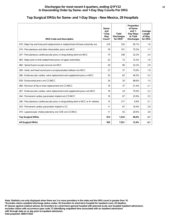#### **Top Surgical DRGs for Same- and 1-Day Stays - New Mexico, 29 Hospitals**

| <b>DRG Code and Description</b>                                                   | Same-<br>and<br>1-Dav<br><b>Stav</b><br>Count* | <b>Total</b><br><b>Discharges</b><br>for DRG* | Proportion<br>of Same-<br>and $1-$<br>Day Stays<br>to Total<br><b>Discharges</b> | Average<br>Length<br>of Stay<br>for DRG |
|-----------------------------------------------------------------------------------|------------------------------------------------|-----------------------------------------------|----------------------------------------------------------------------------------|-----------------------------------------|
| 470 : Major hip and knee joint replacement or reattachment of lower extremity w/o | 216                                            | 332                                           | 65.1%                                                                            | 1.6                                     |
| 274 : Percutaneous and other intracardiac procs w/o MCC                           | 76                                             | 101                                           | 75.2%                                                                            | 1.7                                     |
| 247 : Percutaneous cardiovascular procs w drug-eluting stent w/o MCC              | 75                                             | 338                                           | 22.2%                                                                            | 2.4                                     |
| 483 : Major joint or limb reattachment procs of upper extremities                 | 52                                             | 72                                            | 72.2%                                                                            | 1.6                                     |
| 460 : Spinal fusion except cervical w/o MCC                                       | 29                                             | 90                                            | 32.2%                                                                            | 2.9                                     |
| 269 : Aortic and heart assist procs except pulsation balloon w/o MCC              | 27                                             | 37                                            | 73.0%                                                                            | 1.9                                     |
| 266 : Endovascular cardiac valve replacement and supplement procs w MCC           | 25                                             | 62                                            | 40.3%                                                                            | 5.3                                     |
| 039 : Extracranial procs w/o CC/MCC                                               | 24                                             | 35                                            | 68.6%                                                                            | 1.5                                     |
| 468 : Revision of hip or knee replacement w/o CC/MCC                              | 19                                             | 37                                            | 51.4%                                                                            | 2.1                                     |
| 267 : Endovascular cardiac valve replacement and supplement procs w/o MCC         | 18                                             | 24                                            | 75.0%                                                                            | 2.3                                     |
| 244 : Permanent cardiac pacemaker implant w/o CC/MCC                              | 16                                             | 67                                            | 23.9%                                                                            | 2.5                                     |
| 246 : Percutaneous cardiovascular procs w drug-eluting stent w MCC or 4+ arteries | 15                                             | 217                                           | 6.9%                                                                             | 5.1                                     |
| 243 : Permanent cardiac pacemaker implant w CC                                    | 11                                             | 67                                            | 16.4%                                                                            | 2.9                                     |
| 419 : Laparoscopic cholecystectomy w/o CDE w/o CC/MCC                             | 11                                             | 55                                            | 20.0%                                                                            | 2.8                                     |
| <b>Top Surgical DRGs</b>                                                          | 614                                            | 1,534                                         | 40.0%                                                                            | 2.7                                     |
| <b>All Surgical DRGs</b>                                                          | 935                                            | 7,551                                         | 12.4%                                                                            | 6.1                                     |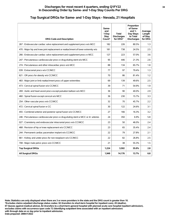# **Top Surgical DRGs for Same- and 1-Day Stays - Nevada, 21 Hospitals**

| <b>DRG Code and Description</b>                                                   | Same-<br>and<br>1-Day<br><b>Stay</b><br>Count* | <b>Total</b><br><b>Discharges</b><br>for DRG* | Proportion<br>of Same-<br>and $1-$<br>Day Stays<br>to Total<br><b>Discharges</b> | Average<br>Length<br>of Stay<br>for DRG |
|-----------------------------------------------------------------------------------|------------------------------------------------|-----------------------------------------------|----------------------------------------------------------------------------------|-----------------------------------------|
| 267 : Endovascular cardiac valve replacement and supplement procs w/o MCC         | 182                                            | 226                                           | 80.5%                                                                            | 1.3                                     |
| 470 : Major hip and knee joint replacement or reattachment of lower extremity w/o | 181                                            | 738                                           | 24.5%                                                                            | 2.5                                     |
| 266 : Endovascular cardiac valve replacement and supplement procs w MCC           | 127                                            | 223                                           | 57.0%                                                                            | 3.6                                     |
| 247 : Percutaneous cardiovascular procs w drug-eluting stent w/o MCC              | 95                                             | 446                                           | 21.3%                                                                            | 2.6                                     |
| 274 : Percutaneous and other intracardiac procs w/o MCC                           | 88                                             | 134                                           | 65.7%                                                                            | 1.8                                     |
| 039 : Extracranial procs w/o CC/MCC                                               | 77                                             | 97                                            | 79.4%                                                                            | 1.3                                     |
| 621 : OR procs for obesity w/o CC/MCC                                             | 70                                             | 86                                            | 81.4%                                                                            | 1.2                                     |
| 483 : Major joint or limb reattachment procs of upper extremities                 | 69                                             | 139                                           | 49.6%                                                                            | 2.5                                     |
| 473 : Cervical spinal fusion w/o CC/MCC                                           | 39                                             | 71                                            | 54.9%                                                                            | 1.9                                     |
| 269 : Aortic and heart assist procs except pulsation balloon w/o MCC              | 36                                             | 90                                            | 40.0%                                                                            | 2.9                                     |
| 460 : Spinal fusion except cervical w/o MCC                                       | 36                                             | 230                                           | 15.7%                                                                            | 3.3                                     |
| 254 : Other vascular procs w/o CC/MCC                                             | 32                                             | 70                                            | 45.7%                                                                            | 2.2                                     |
| 472 : Cervical spinal fusion w CC                                                 | 30                                             | 122                                           | 24.6%                                                                            | 3.1                                     |
| 455 : Combined anterior and posterior spinal fusion w/o CC/MCC                    | 27                                             | 166                                           | 16.3%                                                                            | 3.2                                     |
| 246 : Percutaneous cardiovascular procs w drug-eluting stent w MCC or 4+ arteries | 24                                             | 350                                           | 6.9%                                                                             | 5.8                                     |
| 027 : Craniotomy and endovascular intracranial procs w/o CC/MCC                   | 23                                             | 50                                            | 46.0%                                                                            | 2.4                                     |
| 468 : Revision of hip or knee replacement w/o CC/MCC                              | 23                                             | 65                                            | 35.4%                                                                            | 2.4                                     |
| 244 : Permanent cardiac pacemaker implant w/o CC/MCC                              | 22                                             | 79                                            | 27.8%                                                                            | 2.1                                     |
| 661 : Kidney and ureter procs for non-neoplasm w/o CC/MCC                         | 22                                             | 82                                            | 26.8%                                                                            | 2.5                                     |
| 708 : Major male pelvic procs w/o CC/MCC                                          | 21                                             | 38                                            | 55.3%                                                                            | 1.5                                     |
| <b>Top Surgical DRGs</b>                                                          | 1,224                                          | 3,502                                         | 35.0%                                                                            | 2.8                                     |
| <b>All Surgical DRGs</b>                                                          | 1,949                                          | 14,176                                        | 13.7%                                                                            | 6.8                                     |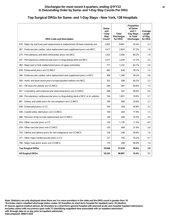#### **Top Surgical DRGs for Same- and 1-Day Stays - New York, 138 Hospitals**

| <b>DRG Code and Description</b>                                                   | Same-<br>and<br>1-Day<br><b>Stay</b><br>Count* | <b>Total</b><br><b>Discharges</b><br>for DRG* | Proportion<br>of Same-<br>and $1-$<br>Day Stays<br>to Total<br><b>Discharges</b> | Average<br>Length<br>of Stay<br>for DRG |
|-----------------------------------------------------------------------------------|------------------------------------------------|-----------------------------------------------|----------------------------------------------------------------------------------|-----------------------------------------|
| 470 : Major hip and knee joint replacement or reattachment of lower extremity w/o | 2.952                                          | 8.841                                         | 33.4%                                                                            | 2.3                                     |
| 267 : Endovascular cardiac valve replacement and supplement procs w/o MCC         | 1,617                                          | 2,824                                         | 57.3%                                                                            | 1.9                                     |
| 274 : Percutaneous and other intracardiac procs w/o MCC                           | 1.423                                          | 2,056                                         | 69.2%                                                                            | 1.9                                     |
| 247 : Percutaneous cardiovascular procs w drug-eluting stent w/o MCC              | 1,017                                          | 3,259                                         | 31.2%                                                                            | 2.5                                     |
| 483 : Major joint or limb reattachment procs of upper extremities                 | 777                                            | 1,232                                         | 63.1%                                                                            | 2.0                                     |
| 039 : Extracranial procs w/o CC/MCC                                               | 492                                            | 630                                           | 78.1%                                                                            | 1.5                                     |
| 266 : Endovascular cardiac valve replacement and supplement procs w MCC           | 408                                            | 1,396                                         | 29.2%                                                                            | 5.8                                     |
| 269 : Aortic and heart assist procs except pulsation balloon w/o MCC              | 325                                            | 506                                           | 64.2%                                                                            | 2.3                                     |
| 621 : OR procs for obesity w/o CC/MCC                                             | 246                                            | 381                                           | 64.6%                                                                            | 1.5                                     |
| 027 : Craniotomy and endovascular intracranial procs w/o CC/MCC                   | 208                                            | 347                                           | 59.9%                                                                            | 2.0                                     |
| 246 : Percutaneous cardiovascular procs w drug-eluting stent w MCC or 4+ arteries | 194                                            | 1,831                                         | 10.6%                                                                            | 5.7                                     |
| 661 : Kidney and ureter procs for non-neoplasm w/o CC/MCC                         | 189                                            | 560                                           | 33.8%                                                                            | 2.3                                     |
| 038 : Extracranial procs w CC                                                     | 164                                            | 358                                           | 45.8%                                                                            | 3.3                                     |
| 036 : Carotid artery stent procs w/o CC/MCC                                       | 159                                            | 204                                           | 77.9%                                                                            | 1.5                                     |
| 468 : Revision of hip or knee replacement w/o CC/MCC                              | 149                                            | 448                                           | 33.3%                                                                            | 2.5                                     |
| 253 : Other vascular procs w CC                                                   | 130                                            | 1,135                                         | 11.5%                                                                            | 6.0                                     |
| 254 : Other vascular procs w/o CC/MCC                                             | 130                                            | 408                                           | 31.9%                                                                            | 2.6                                     |
| 743 : Uterine and adnexa procs for non-malignancy w/o CC/MCC                      | 126                                            | 248                                           | 50.8%                                                                            | 1.6                                     |
| 271 : Other major cardiovascular procs w CC                                       | 121                                            | 745                                           | 16.2%                                                                            | 5.7                                     |
| 708 : Major male pelvic procs w/o CC/MCC                                          | 119                                            | 209                                           | 56.9%                                                                            | 1.6                                     |
| <b>Top Surgical DRGs</b>                                                          | 10,946                                         | 27,618                                        | 39.6%                                                                            | 2.9                                     |
| <b>All Surgical DRGs</b>                                                          | 16,242                                         | 98,997                                        | 16.4%                                                                            | 7.1                                     |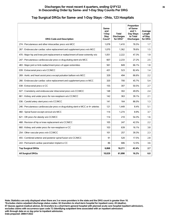#### **Top Surgical DRGs for Same- and 1-Day Stays - Ohio, 123 Hospitals**

| <b>DRG Code and Description</b>                                                   | Same-<br>and<br>1-Day<br><b>Stay</b><br>Count* | <b>Total</b><br><b>Discharges</b><br>for DRG* | Proportion<br>of Same-<br>and $1-$<br>Day Stays<br>to Total<br><b>Discharges</b> | Average<br>Length<br>of Stay<br>for DRG |
|-----------------------------------------------------------------------------------|------------------------------------------------|-----------------------------------------------|----------------------------------------------------------------------------------|-----------------------------------------|
| 274 : Percutaneous and other intracardiac procs w/o MCC                           | 1,078                                          | 1,410                                         | 76.5%                                                                            | 1.7                                     |
| 267 : Endovascular cardiac valve replacement and supplement procs w/o MCC         | 1,070                                          | 1,362                                         | 78.6%                                                                            | 1.5                                     |
| 470 : Major hip and knee joint replacement or reattachment of lower extremity w/o | 1.051                                          | 2,222                                         | 47.3%                                                                            | 1.9                                     |
| 247 : Percutaneous cardiovascular procs w drug-eluting stent w/o MCC              | 607                                            | 2,233                                         | 27.2%                                                                            | 2.5                                     |
| 483 : Major joint or limb reattachment procs of upper extremities                 | 561                                            | 849                                           | 66.1%                                                                            | 1.8                                     |
| 039 : Extracranial procs w/o CC/MCC                                               | 431                                            | 523                                           | 82.4%                                                                            | 1,4                                     |
| 269 : Aortic and heart assist procs except pulsation balloon w/o MCC              | 329                                            | 494                                           | 66.6%                                                                            | 2.2                                     |
| 266 : Endovascular cardiac valve replacement and supplement procs w MCC           | 320                                            | 700                                           | 45.7%                                                                            | 5.4                                     |
| 038 : Extracranial procs w CC                                                     | 155                                            | 307                                           | 50.5%                                                                            | 2.7                                     |
| 027 : Craniotomy and endovascular intracranial procs w/o CC/MCC                   | 148                                            | 302                                           | 49.0%                                                                            | 2.4                                     |
| 661 : Kidney and ureter procs for non-neoplasm w/o CC/MCC                         | 142                                            | 363                                           | 39.1%                                                                            | 2.1                                     |
| 036 : Carotid artery stent procs w/o CC/MCC                                       | 141                                            | 164                                           | 86.0%                                                                            | 1.3                                     |
| 246 : Percutaneous cardiovascular procs w drug-eluting stent w MCC or 4+ arteries | 121                                            | 1.449                                         | 8.4%                                                                             | 5.1                                     |
| 460 : Spinal fusion except cervical w/o MCC                                       | 114                                            | 1,274                                         | 8.9%                                                                             | 3.7                                     |
| 621 : OR procs for obesity w/o CC/MCC                                             | 114                                            | 210                                           | 54.3%                                                                            | 1.6                                     |
| 468 : Revision of hip or knee replacement w/o CC/MCC                              | 105                                            | 247                                           | 42.5%                                                                            | 2.2                                     |
| 660 : Kidney and ureter procs for non-neoplasm w CC                               | 103                                            | 639                                           | 16.1%                                                                            | 3.8                                     |
| 254 : Other vascular procs w/o CC/MCC                                             | 101                                            | 257                                           | 39.3%                                                                            | 2.3                                     |
| 455 : Combined anterior and posterior spinal fusion w/o CC/MCC                    | 91                                             | 520                                           | 17.5%                                                                            | 2.8                                     |
| 243 : Permanent cardiac pacemaker implant w CC                                    | 86                                             | 686                                           | 12.5%                                                                            | 3.6                                     |
| <b>Top Surgical DRGs</b>                                                          | 6,868                                          | 16,211                                        | 42.4%                                                                            | 2.7                                     |
| <b>All Surgical DRGs</b>                                                          | 10,029                                         | 61,898                                        | 16.2%                                                                            | 6.0                                     |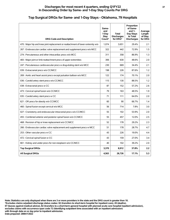#### **Top Surgical DRGs for Same- and 1-Day Stays - Oklahoma, 79 Hospitals**

| <b>DRG Code and Description</b>                                                   | Same-<br>and<br>1-Day<br>Stay<br>Count* | <b>Total</b><br><b>Discharges</b><br>for DRG* | Proportion<br>of Same-<br>and $1-$<br>Day Stays<br>to Total<br><b>Discharges</b> | Average<br>Length<br>of Stay<br>for DRG |
|-----------------------------------------------------------------------------------|-----------------------------------------|-----------------------------------------------|----------------------------------------------------------------------------------|-----------------------------------------|
| 470 : Major hip and knee joint replacement or reattachment of lower extremity w/o | 1,074                                   | 3,651                                         | 29.4%                                                                            | 2.1                                     |
| 267 : Endovascular cardiac valve replacement and supplement procs w/o MCC         | 322                                     | 442                                           | 72.9%                                                                            | 1.5                                     |
| 274 : Percutaneous and other intracardiac procs w/o MCC                           | 311                                     | 358                                           | 86.9%                                                                            | 1.3                                     |
| 483 : Major joint or limb reattachment procs of upper extremities                 | 306                                     | 630                                           | 48.6%                                                                            | 2.0                                     |
| 247 : Percutaneous cardiovascular procs w drug-eluting stent w/o MCC              | 230                                     | 669                                           | 34.4%                                                                            | 2.1                                     |
| 039 : Extracranial procs w/o CC/MCC                                               | 198                                     | 226                                           | 87.6%                                                                            | 1.2                                     |
| 269 : Aortic and heart assist procs except pulsation balloon w/o MCC              | 122                                     | 174                                           | 70.1%                                                                            | 2.0                                     |
| 036 : Carotid artery stent procs w/o CC/MCC                                       | 115                                     | 130                                           | 88.5%                                                                            | 1.2                                     |
| 038 : Extracranial procs w CC                                                     | 87                                      | 152                                           | 57.2%                                                                            | 2.6                                     |
| 473 : Cervical spinal fusion w/o CC/MCC                                           | 79                                      | 163                                           | 48.5%                                                                            | 1.9                                     |
| 035 : Carotid artery stent procs w CC                                             | 71                                      | 111                                           | 64.0%                                                                            | 2.0                                     |
| 621 : OR procs for obesity w/o CC/MCC                                             | 60                                      | 90                                            | 66.7%                                                                            | 1.4                                     |
| 460 : Spinal fusion except cervical w/o MCC                                       | 56                                      | 714                                           | 7.8%                                                                             | 3.0                                     |
| 027 : Craniotomy and endovascular intracranial procs w/o CC/MCC                   | 55                                      | 102                                           | 53.9%                                                                            | 2.0                                     |
| 455 : Combined anterior and posterior spinal fusion w/o CC/MCC                    | 55                                      | 457                                           | 12.0%                                                                            | 2.5                                     |
| 468 : Revision of hip or knee replacement w/o CC/MCC                              | 52                                      | 178                                           | 29.2%                                                                            | 2.3                                     |
| 266 : Endovascular cardiac valve replacement and supplement procs w MCC           | 51                                      | 178                                           | 28.7%                                                                            | 4.7                                     |
| 253 : Other vascular procs w CC                                                   | 43                                      | 226                                           | 19.0%                                                                            | 4.4                                     |
| 472 : Cervical spinal fusion w CC                                                 | 43                                      | 159                                           | 27.0%                                                                            | 3.4                                     |
| 661 : Kidney and ureter procs for non-neoplasm w/o CC/MCC                         | 40                                      | 102                                           | 39.2%                                                                            | 2.0                                     |
| <b>Top Surgical DRGs</b>                                                          | 3,370                                   | 8,912                                         | 37.8%                                                                            | 2.2                                     |
| <b>All Surgical DRGs</b>                                                          | 4,563                                   | 26,726                                        | 17.1%                                                                            | 5.3                                     |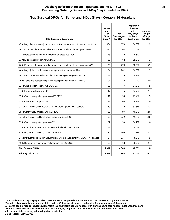# **Top Surgical DRGs for Same- and 1-Day Stays - Oregon, 34 Hospitals**

| <b>DRG Code and Description</b>                                                   | Same-<br>and<br>1-Dav<br><b>Stav</b><br>Count* | <b>Total</b><br><b>Discharges</b><br>for DRG* | Proportion<br>of Same-<br>and $1-$<br>Day Stays<br>to Total<br><b>Discharges</b> | Average<br>Length<br>of Stay<br>for DRG |
|-----------------------------------------------------------------------------------|------------------------------------------------|-----------------------------------------------|----------------------------------------------------------------------------------|-----------------------------------------|
| 470 : Major hip and knee joint replacement or reattachment of lower extremity w/o | 364                                            | 670                                           | 54.3%                                                                            | 1.9                                     |
| 267 : Endovascular cardiac valve replacement and supplement procs w/o MCC         | 245                                            | 364                                           | 67.3%                                                                            | 1.7                                     |
| 274 : Percutaneous and other intracardiac procs w/o MCC                           | 143                                            | 182                                           | 78.6%                                                                            | 1.7                                     |
| 039 : Extracranial procs w/o CC/MCC                                               | 139                                            | 162                                           | 85.8%                                                                            | 1.2                                     |
| 266 : Endovascular cardiac valve replacement and supplement procs w MCC           | 139                                            | 278                                           | 50.0%                                                                            | 3.5                                     |
| 483 : Major joint or limb reattachment procs of upper extremities                 | 134                                            | 202                                           | 66.3%                                                                            | 2.2                                     |
| 247 : Percutaneous cardiovascular procs w drug-eluting stent w/o MCC              | 132                                            | 535                                           | 24.7%                                                                            | 2.2                                     |
| 269 : Aortic and heart assist procs except pulsation balloon w/o MCC              | 101                                            | 139                                           | 72.7%                                                                            | 2.0                                     |
| 621 : OR procs for obesity w/o CC/MCC                                             | 50                                             | 77                                            | 64.9%                                                                            | 1.5                                     |
| 038 : Extracranial procs w CC                                                     | 47                                             | 75                                            | 62.7%                                                                            | 2.3                                     |
| 036 : Carotid artery stent procs w/o CC/MCC                                       | 41                                             | 53                                            | 77.4%                                                                            | 1.5                                     |
| 253 : Other vascular procs w CC                                                   | 41                                             | 206                                           | 19.9%                                                                            | 4.6                                     |
| 027 : Craniotomy and endovascular intracranial procs w/o CC/MCC                   | 39                                             | 76                                            | 51.3%                                                                            | 2.3                                     |
| 254 : Other vascular procs w/o CC/MCC                                             | 39                                             | 97                                            | 40.2%                                                                            | 2.6                                     |
| 331 : Major small and large bowel procs w/o CC/MCC                                | 36                                             | 232                                           | 15.5%                                                                            | 3.0                                     |
| 035 : Carotid artery stent procs w CC                                             | 32                                             | 59                                            | 54.2%                                                                            | 2.6                                     |
| 455 : Combined anterior and posterior spinal fusion w/o CC/MCC                    | 32                                             | 131                                           | 24.4%                                                                            | 2.7                                     |
| 330 : Major small and large bowel procs w CC                                      | 30                                             | 409                                           | 7.3%                                                                             | 5.7                                     |
| 246 : Percutaneous cardiovascular procs w drug-eluting stent w MCC or 4+ arteries | 27                                             | 331                                           | 8.2%                                                                             | 4.9                                     |
| 468 : Revision of hip or knee replacement w/o CC/MCC                              | 26                                             | 68                                            | 38.2%                                                                            | 2.4                                     |
| <b>Top Surgical DRGs</b>                                                          | 1,837                                          | 4,346                                         | 42.3%                                                                            | 2.8                                     |
| <b>All Surgical DRGs</b>                                                          | 2,821                                          | 15,988                                        | 17.6%                                                                            | 6.3                                     |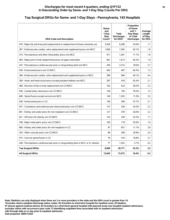#### **Top Surgical DRGs for Same- and 1-Day Stays - Pennsylvania, 143 Hospitals**

| <b>DRG Code and Description</b>                                                   | Same-<br>and<br>1-Day<br>Stay<br>Count* | Total<br><b>Discharges</b><br>for DRG* | Proportion<br>of Same-<br>and $1-$<br>Day Stays<br>to Total<br><b>Discharges</b> | Average<br>Length<br>of Stay<br>for DRG |
|-----------------------------------------------------------------------------------|-----------------------------------------|----------------------------------------|----------------------------------------------------------------------------------|-----------------------------------------|
| 470 : Major hip and knee joint replacement or reattachment of lower extremity w/o | 3.458                                   | 6.296                                  | 54.9%                                                                            | 1.7                                     |
| 267 : Endovascular cardiac valve replacement and supplement procs w/o MCC         | 1,006                                   | 1,595                                  | 63.1%                                                                            | 1.8                                     |
| 274 : Percutaneous and other intracardiac procs w/o MCC                           | 911                                     | 1,281                                  | 71.1%                                                                            | 1.8                                     |
| 483 : Major joint or limb reattachment procs of upper extremities                 | 661                                     | 1,013                                  | 65.3%                                                                            | 1.9                                     |
| 247 : Percutaneous cardiovascular procs w drug-eluting stent w/o MCC              | 430                                     | 2,314                                  | 18.6%                                                                            | 2.7                                     |
| 039 : Extracranial procs w/o CC/MCC                                               | 402                                     | 487                                    | 82.5%                                                                            | 1.3                                     |
| 266 : Endovascular cardiac valve replacement and supplement procs w MCC           | 399                                     | 994                                    | 40.1%                                                                            | 4.4                                     |
| 269 : Aortic and heart assist procs except pulsation balloon w/o MCC              | 297                                     | 476                                    | 62.4%                                                                            | 2.1                                     |
| 468 : Revision of hip or knee replacement w/o CC/MCC                              | 162                                     | 422                                    | 38.4%                                                                            | 2.3                                     |
| 036 : Carotid artery stent procs w/o CC/MCC                                       | 149                                     | 195                                    | 76.4%                                                                            | 1.5                                     |
| 460 : Spinal fusion except cervical w/o MCC                                       | 149                                     | 1,355                                  | 11.0%                                                                            | 3.5                                     |
| 038 : Extracranial procs w CC                                                     | 146                                     | 306                                    | 47.7%                                                                            | 3.1                                     |
| 027 : Craniotomy and endovascular intracranial procs w/o CC/MCC                   | 137                                     | 256                                    | 53.5%                                                                            | 2.2                                     |
| 661 : Kidney and ureter procs for non-neoplasm w/o CC/MCC                         | 127                                     | 478                                    | 26.6%                                                                            | 2.2                                     |
| 621 : OR procs for obesity w/o CC/MCC                                             | 124                                     | 236                                    | 52.5%                                                                            | 1.7                                     |
| 708 : Major male pelvic procs w/o CC/MCC                                          | 100                                     | 179                                    | 55.9%                                                                            | 1.6                                     |
| 660 : Kidney and ureter procs for non-neoplasm w CC                               | 97                                      | 831                                    | 11.7%                                                                            | 3.9                                     |
| 254 : Other vascular procs w/o CC/MCC                                             | 89                                      | 289                                    | 30.8%                                                                            | 2.6                                     |
| 472 : Cervical spinal fusion w CC                                                 | 78                                      | 416                                    | 18.8%                                                                            | 3.7                                     |
| 246 : Percutaneous cardiovascular procs w drug-eluting stent w MCC or 4+ arteries | 77                                      | 1,352                                  | 5.7%                                                                             | 5.5                                     |
| <b>Top Surgical DRGs</b>                                                          | 8,999                                   | 20,771                                 | 43.3%                                                                            | 2.5                                     |
| <b>All Surgical DRGs</b>                                                          | 12,045                                  | 73,372                                 | 16.4%                                                                            | 6.2                                     |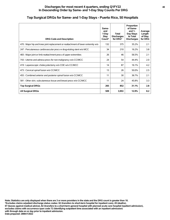#### **Top Surgical DRGs for Same- and 1-Day Stays - Puerto Rico, 50 Hospitals**

| <b>DRG Code and Description</b>                                                   | Same-<br>and<br>1-Day<br>Stay<br>Count* | <b>Total</b><br><b>Discharges</b><br>for DRG* | Proportion<br>of Same-<br>and $1-$<br>Day Stays<br>to Total<br><b>Discharges</b> | Average<br>Length<br>of Stay<br>for DRG |
|-----------------------------------------------------------------------------------|-----------------------------------------|-----------------------------------------------|----------------------------------------------------------------------------------|-----------------------------------------|
| 470 : Major hip and knee joint replacement or reattachment of lower extremity w/o | 132                                     | 375                                           | 35.2%                                                                            | 2.1                                     |
| 247 : Percutaneous cardiovascular procs w drug-eluting stent w/o MCC              | 34                                      | 210                                           | 16.2%                                                                            | 3.8                                     |
| 483 : Major joint or limb reattachment procs of upper extremities                 | 26                                      | 46                                            | 56.5%                                                                            | 2.1                                     |
| 743 : Uterine and adnexa procs for non-malignancy w/o CC/MCC                      | 24                                      | 54                                            | 44.4%                                                                            | 2.0                                     |
| 419 : Laparoscopic cholecystectomy w/o CDE w/o CC/MCC                             | 14                                      | 87                                            | 16.1%                                                                            | 4.2                                     |
| 473 : Cervical spinal fusion w/o CC/MCC                                           | 13                                      | 26                                            | 50.0%                                                                            | 2.5                                     |
| 455 : Combined anterior and posterior spinal fusion w/o CC/MCC                    | 11                                      | 30                                            | 36.7%                                                                            | 2.1                                     |
| 581 : Other skin, subcutaneous tissue and breast procs w/o CC/MCC                 | 11                                      | 24                                            | 45.8%                                                                            | 3.3                                     |
| <b>Top Surgical DRGs</b>                                                          | 265                                     | 852                                           | 31.1%                                                                            | 2.8                                     |
| <b>All Surgical DRGs</b>                                                          | 509                                     | 3,953                                         | 12.9%                                                                            | 8.2                                     |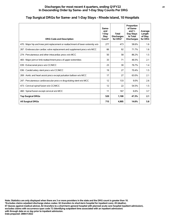# **Top Surgical DRGs for Same- and 1-Day Stays - Rhode Island, 10 Hospitals**

| <b>DRG Code and Description</b>                                                   | Same-<br>and<br>1-Dav<br>Stay<br>Count* | Total<br><b>Discharges</b><br>for DRG* | Proportion<br>of Same-<br>and $1-$<br>Day Stays<br>to Total<br><b>Discharges</b> | Average<br>Length<br>of Stay<br>for DRG |
|-----------------------------------------------------------------------------------|-----------------------------------------|----------------------------------------|----------------------------------------------------------------------------------|-----------------------------------------|
| 470 : Major hip and knee joint replacement or reattachment of lower extremity w/o | 277                                     | 473                                    | 58.6%                                                                            | 1.6                                     |
| 267 : Endovascular cardiac valve replacement and supplement procs w/o MCC         | 66                                      | 92                                     | 71.7%                                                                            | 1.6                                     |
| 274 : Percutaneous and other intracardiac procs w/o MCC                           | 50                                      | 58                                     | 86.2%                                                                            | 1.5                                     |
| 483 : Major joint or limb reattachment procs of upper extremities                 | 33                                      | 71                                     | 46.5%                                                                            | 2.1                                     |
| 039 : Extracranial procs w/o CC/MCC                                               | 23                                      | 30                                     | 76.7%                                                                            | 1.4                                     |
| 036 : Carotid artery stent procs w/o CC/MCC                                       | 19                                      | 27                                     | 70.4%                                                                            | 1.5                                     |
| 269 : Aortic and heart assist procs except pulsation balloon w/o MCC              | 17                                      | 27                                     | 63.0%                                                                            | 2.1                                     |
| 247 : Percutaneous cardiovascular procs w drug-eluting stent w/o MCC              | 12                                      | 133                                    | 9.0%                                                                             | 2.6                                     |
| 473 : Cervical spinal fusion w/o CC/MCC                                           | 12                                      | 22                                     | 54.5%                                                                            | 1.5                                     |
| 460 : Spinal fusion except cervical w/o MCC                                       | 11                                      | 167                                    | 6.6%                                                                             | 3.7                                     |
| <b>Top Surgical DRGs</b>                                                          | 520                                     | 1,100                                  | 47.3%                                                                            | 2.1                                     |
| <b>All Surgical DRGs</b>                                                          | 715                                     | 4,905                                  | 14.6%                                                                            | 5.8                                     |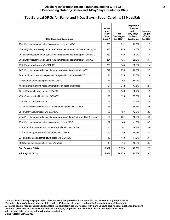# **Top Surgical DRGs for Same- and 1-Day Stays - South Carolina, 53 Hospitals**

| <b>DRG Code and Description</b>                                                   | Same-<br>and<br>1-Day<br>Stay<br>Count* | Total<br><b>Discharges</b><br>for DRG* | Proportion<br>of Same-<br>and $1-$<br>Day Stays<br>to Total<br><b>Discharges</b> | Average<br>Length<br>of Stay<br>for DRG |
|-----------------------------------------------------------------------------------|-----------------------------------------|----------------------------------------|----------------------------------------------------------------------------------|-----------------------------------------|
| 274 : Percutaneous and other intracardiac procs w/o MCC                           | 638                                     | 812                                    | 78.6%                                                                            | 1.5                                     |
| 470 : Major hip and knee joint replacement or reattachment of lower extremity w/o | 431                                     | 930                                    | 46.3%                                                                            | 2.0                                     |
| 267 : Endovascular cardiac valve replacement and supplement procs w/o MCC         | 350                                     | 449                                    | 78.0%                                                                            | 1.4                                     |
| 266 : Endovascular cardiac valve replacement and supplement procs w MCC           | 284                                     | 435                                    | 65.3%                                                                            | 3.1                                     |
| 039 : Extracranial procs w/o CC/MCC                                               | 280                                     | 346                                    | 80.9%                                                                            | 1.4                                     |
| 247 : Percutaneous cardiovascular procs w drug-eluting stent w/o MCC              | 249                                     | 936                                    | 26.6%                                                                            | 2.3                                     |
| 269 : Aortic and heart assist procs except pulsation balloon w/o MCC              | 171                                     | 235                                    | 72.8%                                                                            | 1.8                                     |
| 036 : Carotid artery stent procs w/o CC/MCC                                       | 144                                     | 168                                    | 85.7%                                                                            | 1.3                                     |
| 483 : Major joint or limb reattachment procs of upper extremities                 | 101                                     | 212                                    | 47.6%                                                                            | 2.4                                     |
| 621 : OR procs for obesity w/o CC/MCC                                             | 84                                      | 149                                    | 56.4%                                                                            | 1.5                                     |
| 473 : Cervical spinal fusion w/o CC/MCC                                           | 78                                      | 119                                    | 65.5%                                                                            | 1.6                                     |
| 038 : Extracranial procs w CC                                                     | 68                                      | 127                                    | 53.5%                                                                            | 2.4                                     |
| 027 : Craniotomy and endovascular intracranial procs w/o CC/MCC                   | 66                                      | 171                                    | 38.6%                                                                            | 2.6                                     |
| 254 : Other vascular procs w/o CC/MCC                                             | 66                                      | 157                                    | 42.0%                                                                            | 2.3                                     |
| 246 : Percutaneous cardiovascular procs w drug-eluting stent w MCC or 4+ arteries | 64                                      | 601                                    | 10.6%                                                                            | 4.5                                     |
| 273 : Percutaneous and other intracardiac procs w MCC                             | 59                                      | 143                                    | 41.3%                                                                            | 4.5                                     |
| 455 : Combined anterior and posterior spinal fusion w/o CC/MCC                    | 54                                      | 281                                    | 19.2%                                                                            | 2.6                                     |
| 272 : Other major cardiovascular procs w/o CC/MCC                                 | 49                                      | 89                                     | 55.1%                                                                            | 2.3                                     |
| 331 : Major small and large bowel procs w/o CC/MCC                                | 46                                      | 419                                    | 11.0%                                                                            | 3.4                                     |
| 460 : Spinal fusion except cervical w/o MCC                                       | 45                                      | 414                                    | 10.9%                                                                            | 3.7                                     |
| <b>Top Surgical DRGs</b>                                                          | 3,327                                   | 7,193                                  | 46.3%                                                                            | 2.5                                     |
| <b>All Surgical DRGs</b>                                                          | 4,801                                   | 28,639                                 | 16.8%                                                                            | 6.2                                     |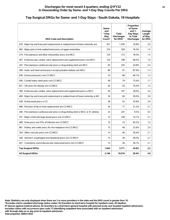# **Top Surgical DRGs for Same- and 1-Day Stays - South Dakota, 19 Hospitals**

| <b>DRG Code and Description</b>                                                    | Same-<br>and<br>1-Day<br>Stav<br>Count* | Total<br><b>Discharges</b><br>for DRG* | Proportion<br>of Same-<br>and $1-$<br>Day Stays<br>to Total<br><b>Discharges</b> | Average<br>Length<br>of Stay<br>for DRG |
|------------------------------------------------------------------------------------|-----------------------------------------|----------------------------------------|----------------------------------------------------------------------------------|-----------------------------------------|
| 470 : Major hip and knee joint replacement or reattachment of lower extremity w/o  | 551                                     | 1,539                                  | 35.8%                                                                            | 2.0                                     |
| 483 : Major joint or limb reattachment procs of upper extremities                  | 274                                     | 359                                    | 76.3%                                                                            | 1.5                                     |
| 274 : Percutaneous and other intracardiac procs w/o MCC                            | 135                                     | 172                                    | 78.5%                                                                            | 1.5                                     |
| 267 : Endovascular cardiac valve replacement and supplement procs w/o MCC          | 125                                     | 188                                    | 66.5%                                                                            | 1.6                                     |
| 247 : Percutaneous cardiovascular procs w drug-eluting stent w/o MCC               | 83                                      | 335                                    | 24.8%                                                                            | 2.4                                     |
| 269 : Aortic and heart assist procs except pulsation balloon w/o MCC               | 80                                      | 91                                     | 87.9%                                                                            | 1.3                                     |
| 039 : Extracranial procs w/o CC/MCC                                                | 74                                      | 88                                     | 84.1%                                                                            | 1.3                                     |
| 036 : Carotid artery stent procs w/o CC/MCC                                        | 58                                      | 79                                     | 73.4%                                                                            | 1.7                                     |
| 621 : OR procs for obesity w/o CC/MCC                                              | 42                                      | 55                                     | 76.4%                                                                            | 1.3                                     |
| 266 : Endovascular cardiac valve replacement and supplement procs w MCC            | 30                                      | 107                                    | 28.0%                                                                            | 3.4                                     |
| 469 : Major hip and knee joint replacement or reattachment of lower extremity w MC | 30                                      | 60                                     | 50.0%                                                                            | 3.0                                     |
| 038 : Extracranial procs w CC                                                      | 28                                      | 52                                     | 53.8%                                                                            | 2.6                                     |
| 468 : Revision of hip or knee replacement w/o CC/MCC                               | 24                                      | 77                                     | 31.2%                                                                            | 2.1                                     |
| 246 : Percutaneous cardiovascular procs w drug-eluting stent w MCC or 4+ arteries  | 23                                      | 241                                    | 9.5%                                                                             | 4.5                                     |
| 331 : Major small and large bowel procs w/o CC/MCC                                 | 15                                      | 148                                    | 10.1%                                                                            | 3.1                                     |
| 489 : Knee procs w/o PDx of infection w/o CC/MCC                                   | 15                                      | 23                                     | 65.2%                                                                            | 1.5                                     |
| 661 : Kidney and ureter procs for non-neoplasm w/o CC/MCC                          | 15                                      | 46                                     | 32.6%                                                                            | 2.0                                     |
| 254 : Other vascular procs w/o CC/MCC                                              | 14                                      | 46                                     | 30.4%                                                                            | 2.1                                     |
| 328 : Stomach, esophageal and duodenal procs w/o CC/MCC                            | 14                                      | 29                                     | 48.3%                                                                            | 2.7                                     |
| 027 : Craniotomy and endovascular intracranial procs w/o CC/MCC                    | 13                                      | 36                                     | 36.1%                                                                            | 3.1                                     |
| <b>Top Surgical DRGs</b>                                                           | 1,643                                   | 3,771                                  | 43.6%                                                                            | 2.2                                     |
| <b>All Surgical DRGs</b>                                                           | 2,146                                   | 10,519                                 | 20.4%                                                                            | 4.9                                     |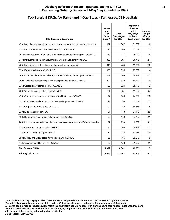#### **Top Surgical DRGs for Same- and 1-Day Stays - Tennessee, 78 Hospitals**

| <b>DRG Code and Description</b>                                                   | Same-<br>and<br>1-Day<br>Stay<br>Count* | <b>Total</b><br><b>Discharges</b><br>for DRG* | Proportion<br>of Same-<br>and $1-$<br>Day Stays<br>to Total<br><b>Discharges</b> | Average<br>Length<br>of Stay<br>for DRG |
|-----------------------------------------------------------------------------------|-----------------------------------------|-----------------------------------------------|----------------------------------------------------------------------------------|-----------------------------------------|
| 470 : Major hip and knee joint replacement or reattachment of lower extremity w/o | 927                                     | 1.807                                         | 51.3%                                                                            | 2.0                                     |
| 274 : Percutaneous and other intracardiac procs w/o MCC                           | 716                                     | 869                                           | 82.4%                                                                            | 1.5                                     |
| 267 : Endovascular cardiac valve replacement and supplement procs w/o MCC         | 539                                     | 717                                           | 75.2%                                                                            | 1.6                                     |
| 247 : Percutaneous cardiovascular procs w drug-eluting stent w/o MCC              | 360                                     | 1,365                                         | 26.4%                                                                            | 2.4                                     |
| 483 : Major joint or limb reattachment procs of upper extremities                 | 316                                     | 484                                           | 65.3%                                                                            | 2.0                                     |
| 039 : Extracranial procs w/o CC/MCC                                               | 306                                     | 396                                           | 77.3%                                                                            | 1.4                                     |
| 266 : Endovascular cardiac valve replacement and supplement procs w MCC           | 237                                     | 508                                           | 46.7%                                                                            | 4.2                                     |
| 269 : Aortic and heart assist procs except pulsation balloon w/o MCC              | 222                                     | 320                                           | 69.4%                                                                            | 1.9                                     |
| 036 : Carotid artery stent procs w/o CC/MCC                                       | 192                                     | 224                                           | 85.7%                                                                            | 1.2                                     |
| 460 : Spinal fusion except cervical w/o MCC                                       | 174                                     | 881                                           | 19.8%                                                                            | 3.2                                     |
| 455 : Combined anterior and posterior spinal fusion w/o CC/MCC                    | 122                                     | 508                                           | 24.0%                                                                            | 2.8                                     |
| 027 : Craniotomy and endovascular intracranial procs w/o CC/MCC                   | 111                                     | 193                                           | 57.5%                                                                            | 2.2                                     |
| 621 : OR procs for obesity w/o CC/MCC                                             | 102                                     | 155                                           | 65.8%                                                                            | 1,4                                     |
| 038 : Extracranial procs w CC                                                     | 91                                      | 178                                           | 51.1%                                                                            | 2.9                                     |
| 468 : Revision of hip or knee replacement w/o CC/MCC                              | 82                                      | 173                                           | 47.4%                                                                            | 2.1                                     |
| 246 : Percutaneous cardiovascular procs w drug-eluting stent w MCC or 4+ arteries | 77                                      | 930                                           | 8.3%                                                                             | 5.1                                     |
| 254 : Other vascular procs w/o CC/MCC                                             | 76                                      | 206                                           | 36.9%                                                                            | 2.3                                     |
| 035 : Carotid artery stent procs w CC                                             | 74                                      | 142                                           | 52.1%                                                                            | 3.0                                     |
| 658 : Kidney and ureter procs for neoplasm w/o CC/MCC                             | 66                                      | 166                                           | 39.8%                                                                            | 1.9                                     |
| 473 : Cervical spinal fusion w/o CC/MCC                                           | 62                                      | 120                                           | 51.7%                                                                            | 2.1                                     |
| <b>Top Surgical DRGs</b>                                                          | 4,852                                   | 10,342                                        | 46.9%                                                                            | 2.5                                     |
| <b>All Surgical DRGs</b>                                                          | 7,308                                   | 42,807                                        | 17.1%                                                                            | 6.1                                     |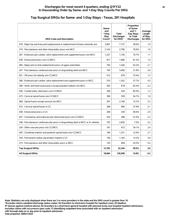# **Top Surgical DRGs for Same- and 1-Day Stays - Texas, 291 Hospitals**

| <b>DRG Code and Description</b>                                                   | Same-<br>and<br>1-Day<br><b>Stay</b><br>Count* | <b>Total</b><br><b>Discharges</b><br>for DRG* | Proportion<br>of Same-<br>and 1-<br>Day Stays<br>to Total<br><b>Discharges</b> | Average<br>Length<br>of Stay<br>for DRG |
|-----------------------------------------------------------------------------------|------------------------------------------------|-----------------------------------------------|--------------------------------------------------------------------------------|-----------------------------------------|
| 470 : Major hip and knee joint replacement or reattachment of lower extremity w/o | 3.067                                          | 7,737                                         | 39.6%                                                                          | 1.9                                     |
| 274 : Percutaneous and other intracardiac procs w/o MCC                           | 2,143                                          | 2,796                                         | 76.6%                                                                          | 1.6                                     |
| 267 : Endovascular cardiac valve replacement and supplement procs w/o MCC         | 1.227                                          | 1,736                                         | 70.7%                                                                          | 1.7                                     |
| 039 : Extracranial procs w/o CC/MCC                                               | 817                                            | 1,006                                         | 81.2%                                                                          | 1,4                                     |
| 483 : Major joint or limb reattachment procs of upper extremities                 | 793                                            | 1,436                                         | 55.2%                                                                          | 2.1                                     |
| 247 : Percutaneous cardiovascular procs w drug-eluting stent w/o MCC              | 745                                            | 3,400                                         | 21.9%                                                                          | 2.6                                     |
| 621 : OR procs for obesity w/o CC/MCC                                             | 512                                            | 679                                           | 75.4%                                                                          | 1.3                                     |
| 266 : Endovascular cardiac valve replacement and supplement procs w MCC           | 510                                            | 1,352                                         | 37.7%                                                                          | 4.3                                     |
| 269 : Aortic and heart assist procs except pulsation balloon w/o MCC              | 392                                            | 618                                           | 63.4%                                                                          | 2.3                                     |
| 036 : Carotid artery stent procs w/o CC/MCC                                       | 356                                            | 434                                           | 82.0%                                                                          | 1.3                                     |
| 473 : Cervical spinal fusion w/o CC/MCC                                           | 306                                            | 559                                           | 54.7%                                                                          | 1.8                                     |
| 460 : Spinal fusion except cervical w/o MCC                                       | 297                                            | 2,169                                         | 13.7%                                                                          | 3.3                                     |
| 472 : Cervical spinal fusion w CC                                                 | 268                                            | 960                                           | 27.9%                                                                          | 3.1                                     |
| 038 : Extracranial procs w CC                                                     | 266                                            | 539                                           | 49.4%                                                                          | 2.9                                     |
| 027 : Craniotomy and endovascular intracranial procs w/o CC/MCC                   | 254                                            | 498                                           | 51.0%                                                                          | 2.3                                     |
| 246 : Percutaneous cardiovascular procs w drug-eluting stent w MCC or 4+ arteries | 197                                            | 2,830                                         | 7.0%                                                                           | 5.2                                     |
| 254 : Other vascular procs w/o CC/MCC                                             | 161                                            | 472                                           | 34.1%                                                                          | 2.4                                     |
| 455 : Combined anterior and posterior spinal fusion w/o CC/MCC                    | 160                                            | 1,331                                         | 12.0%                                                                          | 2.7                                     |
| 243 : Permanent cardiac pacemaker implant w CC                                    | 156                                            | 1,183                                         | 13.2%                                                                          | 3.6                                     |
| 273 : Percutaneous and other intracardiac procs w MCC                             | 155                                            | 609                                           | 25.5%                                                                          | 5.5                                     |
| <b>Top Surgical DRGs</b>                                                          | 12,782                                         | 32,344                                        | 39.5%                                                                          | 2.6                                     |
| <b>All Surgical DRGs</b>                                                          | 18,684                                         | 126,599                                       | 14.8%                                                                          | 6.2                                     |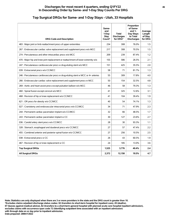#### **Discharges for most recent 4 quarters, ending Q1FY22 46 In Descending Order by Same- and 1-Day Stay Counts Per DRG**

| <b>DRG Code and Description</b>                                                   | Same-<br>and<br>1-Day<br><b>Stay</b><br>Count* | <b>Total</b><br><b>Discharges</b><br>for DRG* | Proportion<br>of Same-<br>and $1-$<br>Day Stays<br>to Total<br><b>Discharges</b> | Average<br>Length<br>of Stay<br>for DRG |
|-----------------------------------------------------------------------------------|------------------------------------------------|-----------------------------------------------|----------------------------------------------------------------------------------|-----------------------------------------|
| 483 : Major joint or limb reattachment procs of upper extremities                 | 234                                            | 308                                           | 76.0%                                                                            | 1.5                                     |
| 267 : Endovascular cardiac valve replacement and supplement procs w/o MCC         | 217                                            | 308                                           | 70.5%                                                                            | 1.5                                     |
| 274 : Percutaneous and other intracardiac procs w/o MCC                           | 209                                            | 239                                           | 87.4%                                                                            | 1.2                                     |
| 470 : Major hip and knee joint replacement or reattachment of lower extremity w/o | 155                                            | 586                                           | 26.5%                                                                            | 2.1                                     |
| 247 : Percutaneous cardiovascular procs w drug-eluting stent w/o MCC              | 151                                            | 425                                           | 35.5%                                                                            | 2.0                                     |
| 039 : Extracranial procs w/o CC/MCC                                               | 58                                             | 71                                            | 81.7%                                                                            | 1.3                                     |
| 246 : Percutaneous cardiovascular procs w drug-eluting stent w MCC or 4+ arteries | 55                                             | 309                                           | 17.8%                                                                            | 4.0                                     |
| 266 : Endovascular cardiac valve replacement and supplement procs w MCC           | 50                                             | 154                                           | 32.5%                                                                            | 4.8                                     |
| 269 : Aortic and heart assist procs except pulsation balloon w/o MCC              | 46                                             | 58                                            | 79.3%                                                                            | 1.3                                     |
| 460 : Spinal fusion except cervical w/o MCC                                       | 41                                             | 325                                           | 12.6%                                                                            | 3.1                                     |
| 468 : Revision of hip or knee replacement w/o CC/MCC                              | 41                                             | 104                                           | 39.4%                                                                            | 1.9                                     |
| 621 : OR procs for obesity w/o CC/MCC                                             | 40                                             | 54                                            | 74.1%                                                                            | 1.3                                     |
| 027: Craniotomy and endovascular intracranial procs w/o CC/MCC                    | 34                                             | 71                                            | 47.9%                                                                            | 2.3                                     |
| 244 : Permanent cardiac pacemaker implant w/o CC/MCC                              | 32                                             | 66                                            | 48.5%                                                                            | 1.7                                     |
| 243 : Permanent cardiac pacemaker implant w CC                                    | 30                                             | 127                                           | 23.6%                                                                            | 2.7                                     |
| 036 : Carotid artery stent procs w/o CC/MCC                                       | 28                                             | 30                                            | 93.3%                                                                            | 1.1                                     |
| 328 : Stomach, esophageal and duodenal procs w/o CC/MCC                           | 27                                             | 57                                            | 47.4%                                                                            | 2.2                                     |
| 455 : Combined anterior and posterior spinal fusion w/o CC/MCC                    | 27                                             | 256                                           | 10.5%                                                                            | 2.5                                     |
| 038 : Extracranial procs w CC                                                     | 26                                             | 43                                            | 60.5%                                                                            | 1.9                                     |
| 467 : Revision of hip or knee replacement w CC                                    | 24                                             | 185                                           | 13.0%                                                                            | 3.6                                     |
| <b>Top Surgical DRGs</b>                                                          | 1,525                                          | 3,776                                         | 40.4%                                                                            | 2.4                                     |
| <b>All Surgical DRGs</b>                                                          | 2,372                                          | 12,158                                        | 19.5%                                                                            | 4.7                                     |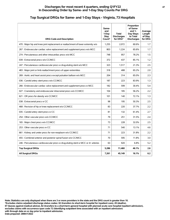# **Top Surgical DRGs for Same- and 1-Day Stays - Virginia, 73 Hospitals**

| <b>DRG Code and Description</b>                                                   | Same-<br>and<br>1-Day<br><b>Stay</b><br>Count* | <b>Total</b><br><b>Discharges</b><br>for DRG* | Proportion<br>of Same-<br>and $1-$<br>Day Stays<br>to Total<br><b>Discharges</b> | Average<br>Length<br>of Stay<br>for DRG |
|-----------------------------------------------------------------------------------|------------------------------------------------|-----------------------------------------------|----------------------------------------------------------------------------------|-----------------------------------------|
| 470 : Major hip and knee joint replacement or reattachment of lower extremity w/o | 1,255                                          | 2,072                                         | 60.6%                                                                            | 1.7                                     |
| 267 : Endovascular cardiac valve replacement and supplement procs w/o MCC         | 803                                            | 1.224                                         | 65.6%                                                                            | 1.7                                     |
| 274 : Percutaneous and other intracardiac procs w/o MCC                           | 748                                            | 957                                           | 78.2%                                                                            | 1.5                                     |
| 039 : Extracranial procs w/o CC/MCC                                               | 372                                            | 437                                           | 85.1%                                                                            | 1.2                                     |
| 247 : Percutaneous cardiovascular procs w drug-eluting stent w/o MCC              | 323                                            | 1,517                                         | 21.3%                                                                            | 2.5                                     |
| 483 : Major joint or limb reattachment procs of upper extremities                 | 318                                            | 488                                           | 65.2%                                                                            | 2.0                                     |
| 269 : Aortic and heart assist procs except pulsation balloon w/o MCC              | 204                                            | 314                                           | 65.0%                                                                            | 2.3                                     |
| 036 : Carotid artery stent procs w/o CC/MCC                                       | 187                                            | 223                                           | 83.9%                                                                            | 1.3                                     |
| 266 : Endovascular cardiac valve replacement and supplement procs w MCC           | 182                                            | 599                                           | 30.4%                                                                            | 5.4                                     |
| 027 : Craniotomy and endovascular intracranial procs w/o CC/MCC                   | 104                                            | 185                                           | 56.2%                                                                            | 2.2                                     |
| 621 : OR procs for obesity w/o CC/MCC                                             | 101                                            | 140                                           | 72.1%                                                                            | 1.3                                     |
| 038 : Extracranial procs w CC                                                     | 98                                             | 195                                           | 50.3%                                                                            | 2.5                                     |
| 468 : Revision of hip or knee replacement w/o CC/MCC                              | 83                                             | 220                                           | 37.7%                                                                            | 2.2                                     |
| 035 : Carotid artery stent procs w CC                                             | 81                                             | 132                                           | 61.4%                                                                            | 2.7                                     |
| 254 : Other vascular procs w/o CC/MCC                                             | 79                                             | 251                                           | 31.5%                                                                            | 2.4                                     |
| 165 : Major chest procs w/o CC/MCC                                                | 73                                             | 228                                           | 32.0%                                                                            | 2.5                                     |
| 253 : Other vascular procs w CC                                                   | 71                                             | 540                                           | 13.1%                                                                            | 4.6                                     |
| 661 : Kidney and ureter procs for non-neoplasm w/o CC/MCC                         | 71                                             | 223                                           | 31.8%                                                                            | 2.2                                     |
| 455 : Combined anterior and posterior spinal fusion w/o CC/MCC                    | 70                                             | 595                                           | 11.8%                                                                            | 3.0                                     |
| 246 : Percutaneous cardiovascular procs w drug-eluting stent w MCC or 4+ arteries | 63                                             | 920                                           | 6.8%                                                                             | 5.2                                     |
| <b>Top Surgical DRGs</b>                                                          | 5,286                                          | 11,460                                        | 46.1%                                                                            | 2.6                                     |
| <b>All Surgical DRGs</b>                                                          | 7,261                                          | 45,149                                        | 16.1%                                                                            | 6.2                                     |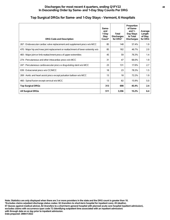| <b>DRG Code and Description</b>                                                   | Same-<br>and<br>1-Day<br>Stav<br>Count* | <b>Total</b><br><b>Discharges</b><br>for DRG* | Proportion<br>of Same-<br>and $1-$<br>Day Stays<br>to Total<br><b>Discharges</b> | Average<br>Length<br>of Stay<br>for DRG |
|-----------------------------------------------------------------------------------|-----------------------------------------|-----------------------------------------------|----------------------------------------------------------------------------------|-----------------------------------------|
| 267 : Endovascular cardiac valve replacement and supplement procs w/o MCC         | 85                                      | 148                                           | 57.4%                                                                            | 1.9                                     |
| 470 : Major hip and knee joint replacement or reattachment of lower extremity w/o | 85                                      | 182                                           | 46.7%                                                                            | 2.0                                     |
| 483 : Major joint or limb reattachment procs of upper extremities                 | 45                                      | 59                                            | 76.3%                                                                            | 1,4                                     |
| 274 : Percutaneous and other intracardiac procs w/o MCC                           | 31                                      | 47                                            | 66.0%                                                                            | 1.9                                     |
| 247 : Percutaneous cardiovascular procs w drug-eluting stent w/o MCC              | 23                                      | 131                                           | 17.6%                                                                            | 2.7                                     |
| 039 : Extracranial procs w/o CC/MCC                                               | 18                                      | 23                                            | 78.3%                                                                            | 1.5                                     |
| 269 : Aortic and heart assist procs except pulsation balloon w/o MCC              | 13                                      | 18                                            | 72.2%                                                                            | 1.9                                     |
| 460 : Spinal fusion except cervical w/o MCC                                       | 13                                      | 82                                            | 15.9%                                                                            | 5.0                                     |
| <b>Top Surgical DRGs</b>                                                          | 313                                     | 690                                           | 45.4%                                                                            | 2.4                                     |
| <b>All Surgical DRGs</b>                                                          | 511                                     | 3,356                                         | 15.2%                                                                            | 6.4                                     |

#### **Top Surgical DRGs for Same- and 1-Day Stays - Vermont, 6 Hospitals**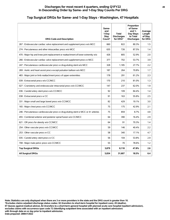#### **Top Surgical DRGs for Same- and 1-Day Stays - Washington, 47 Hospitals**

| <b>DRG Code and Description</b>                                                   | Same-<br>and<br>1-Day<br>Stay<br>Count* | <b>Total</b><br><b>Discharges</b><br>for DRG* | Proportion<br>of Same-<br>and $1-$<br>Day Stays<br>to Total<br><b>Discharges</b> | Average<br>Length<br>of Stay<br>for DRG |
|-----------------------------------------------------------------------------------|-----------------------------------------|-----------------------------------------------|----------------------------------------------------------------------------------|-----------------------------------------|
| 267 : Endovascular cardiac valve replacement and supplement procs w/o MCC         | 660                                     | 822                                           | 80.3%                                                                            | 1.5                                     |
| 274 : Percutaneous and other intracardiac procs w/o MCC                           | 635                                     | 726                                           | 87.5%                                                                            | 1.4                                     |
| 470 : Major hip and knee joint replacement or reattachment of lower extremity w/o | 426                                     | 805                                           | 52.9%                                                                            | 2.0                                     |
| 266 : Endovascular cardiac valve replacement and supplement procs w MCC           | 377                                     | 702                                           | 53.7%                                                                            | 3.9                                     |
| 247 : Percutaneous cardiovascular procs w drug-eluting stent w/o MCC              | 328                                     | 1,185                                         | 27.7%                                                                            | 2.2                                     |
| 269 : Aortic and heart assist procs except pulsation balloon w/o MCC              | 187                                     | 264                                           | 70.8%                                                                            | 1.7                                     |
| 483 : Major joint or limb reattachment procs of upper extremities                 | 178                                     | 291                                           | 61.2%                                                                            | 2.3                                     |
| 039 : Extracranial procs w/o CC/MCC                                               | 170                                     | 210                                           | 81.0%                                                                            | 1.3                                     |
| 027 : Craniotomy and endovascular intracranial procs w/o CC/MCC                   | 147                                     | 237                                           | 62.0%                                                                            | 1.9                                     |
| 036 : Carotid artery stent procs w/o CC/MCC                                       | 92                                      | 109                                           | 84.4%                                                                            | 1.4                                     |
| 038 : Extracranial procs w CC                                                     | 91                                      | 163                                           | 55.8%                                                                            | 2.5                                     |
| 331 : Major small and large bowel procs w/o CC/MCC                                | 82                                      | 429                                           | 19.1%                                                                            | 3.0                                     |
| 165 : Major chest procs w/o CC/MCC                                                | 75                                      | 175                                           | 42.9%                                                                            | 2.1                                     |
| 246 : Percutaneous cardiovascular procs w drug-eluting stent w MCC or 4+ arteries | 75                                      | 859                                           | 8.7%                                                                             | 4.8                                     |
| 455 : Combined anterior and posterior spinal fusion w/o CC/MCC                    | 64                                      | 390                                           | 16.4%                                                                            | 2.9                                     |
| 621 : OR procs for obesity w/o CC/MCC                                             | 64                                      | 91                                            | 70.3%                                                                            | 1.4                                     |
| 254 : Other vascular procs w/o CC/MCC                                             | 59                                      | 146                                           | 40.4%                                                                            | 2.2                                     |
| 253 : Other vascular procs w CC                                                   | 58                                      | 340                                           | 17.1%                                                                            | 4.7                                     |
| 035 : Carotid artery stent procs w CC                                             | 56                                      | 104                                           | 53.8%                                                                            | 2.9                                     |
| 708 : Major male pelvic procs w/o CC/MCC                                          | 55                                      | 70                                            | 78.6%                                                                            | 1.2                                     |
| <b>Top Surgical DRGs</b>                                                          | 3,879                                   | 8,118                                         | 47.8%                                                                            | 2.6                                     |
| <b>All Surgical DRGs</b>                                                          | 5,834                                   | 31,607                                        | 18.5%                                                                            | 6.4                                     |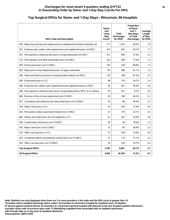#### **Top Surgical DRGs for Same- and 1-Day Stays - Wisconsin, 66 Hospitals**

| <b>DRG Code and Description</b>                                                   | Same-<br>and<br>1-Day<br><b>Stay</b><br>Count* | <b>Total</b><br><b>Discharges</b><br>for DRG* | Proportion<br>of Same-<br>and 1-<br>Day Stays<br>to Total<br><b>Discharges</b> | Average<br>Length<br>of Stay<br>for DRG |
|-----------------------------------------------------------------------------------|------------------------------------------------|-----------------------------------------------|--------------------------------------------------------------------------------|-----------------------------------------|
| 470 : Major hip and knee joint replacement or reattachment of lower extremity w/o | 717                                            | 1,543                                         | 46.5%                                                                          | 1.9                                     |
| 267 : Endovascular cardiac valve replacement and supplement procs w/o MCC         | 415                                            | 652                                           | 63.7%                                                                          | 1.7                                     |
| 247 : Percutaneous cardiovascular procs w drug-eluting stent w/o MCC              | 251                                            | 908                                           | 27.6%                                                                          | 2.3                                     |
| 274 : Percutaneous and other intracardiac procs w/o MCC                           | 232                                            | 299                                           | 77.6%                                                                          | 1.5                                     |
| 039 : Extracranial procs w/o CC/MCC                                               | 193                                            | 239                                           | 80.8%                                                                          | 1.3                                     |
| 483 : Major joint or limb reattachment procs of upper extremities                 | 176                                            | 288                                           | 61.1%                                                                          | 1.9                                     |
| 269 : Aortic and heart assist procs except pulsation balloon w/o MCC              | 133                                            | 198                                           | 67.2%                                                                          | 2.3                                     |
| 038 : Extracranial procs w CC                                                     | 98                                             | 179                                           | 54.7%                                                                          | 2.4                                     |
| 266 : Endovascular cardiac valve replacement and supplement procs w MCC           | 92                                             | 301                                           | 30.6%                                                                          | 5.4                                     |
| 246 : Percutaneous cardiovascular procs w drug-eluting stent w MCC or 4+ arteries | 55                                             | 631                                           | 8.7%                                                                           | 4.9                                     |
| 468 : Revision of hip or knee replacement w/o CC/MCC                              | 50                                             | 108                                           | 46.3%                                                                          | 2.1                                     |
| 027 : Craniotomy and endovascular intracranial procs w/o CC/MCC                   | 43                                             | 88                                            | 48.9%                                                                          | 2.7                                     |
| 164 : Major chest procs w CC                                                      | 43                                             | 245                                           | 17.6%                                                                          | 4.0                                     |
| 244 : Permanent cardiac pacemaker implant w/o CC/MCC                              | 41                                             | 170                                           | 24.1%                                                                          | 2.3                                     |
| 660 : Kidney and ureter procs for non-neoplasm w CC                               | 41                                             | 247                                           | 16.6%                                                                          | 3.6                                     |
| 036 : Carotid artery stent procs w/o CC/MCC                                       | 39                                             | 49                                            | 79.6%                                                                          | 1.3                                     |
| 165 : Major chest procs w/o CC/MCC                                                | 37                                             | 95                                            | 38.9%                                                                          | 2.3                                     |
| 253 : Other vascular procs w CC                                                   | 37                                             | 338                                           | 10.9%                                                                          | 5.0                                     |
| 455 : Combined anterior and posterior spinal fusion w/o CC/MCC                    | 37                                             | 119                                           | 31.1%                                                                          | 2.5                                     |
| 254 : Other vascular procs w/o CC/MCC                                             | 35                                             | 104                                           | 33.7%                                                                          | 2.4                                     |
| <b>Top Surgical DRGs</b>                                                          | 2,765                                          | 6,801                                         | 40.7%                                                                          | 2.7                                     |
| <b>All Surgical DRGs</b>                                                          | 4,002                                          | 26,166                                        | 15.3%                                                                          | 6.3                                     |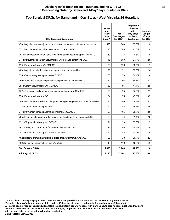#### **Top Surgical DRGs for Same- and 1-Day Stays - West Virginia, 24 Hospitals**

| <b>DRG Code and Description</b>                                                   | Same-<br>and<br>1-Day<br><b>Stay</b><br>Count* | <b>Total</b><br><b>Discharges</b><br>for DRG* | Proportion<br>of Same-<br>and $1-$<br>Day Stays<br>to Total<br><b>Discharges</b> | Average<br>Length<br>of Stay<br>for DRG |
|-----------------------------------------------------------------------------------|------------------------------------------------|-----------------------------------------------|----------------------------------------------------------------------------------|-----------------------------------------|
| 470 : Major hip and knee joint replacement or reattachment of lower extremity w/o | 493                                            | 889                                           | 55.5%                                                                            | 1.8                                     |
| 274 : Percutaneous and other intracardiac procs w/o MCC                           | 176                                            | 246                                           | 71.5%                                                                            | 1.9                                     |
| 267 : Endovascular cardiac valve replacement and supplement procs w/o MCC         | 160                                            | 214                                           | 74.8%                                                                            | 1.5                                     |
| 247 : Percutaneous cardiovascular procs w drug-eluting stent w/o MCC              | 148                                            | 683                                           | 21.7%                                                                            | 2.8                                     |
| 039 : Extracranial procs w/o CC/MCC                                               | 103                                            | 128                                           | 80.5%                                                                            | 1.3                                     |
| 483 : Major joint or limb reattachment procs of upper extremities                 | 75                                             | 121                                           | 62.0%                                                                            | 2.4                                     |
| 036 : Carotid artery stent procs w/o CC/MCC                                       | 68                                             | 79                                            | 86.1%                                                                            | 1.4                                     |
| 269 : Aortic and heart assist procs except pulsation balloon w/o MCC              | 57                                             | 104                                           | 54.8%                                                                            | 2.3                                     |
| 254 : Other vascular procs w/o CC/MCC                                             | 39                                             | 95                                            | 41.1%                                                                            | 2.5                                     |
| 027 : Craniotomy and endovascular intracranial procs w/o CC/MCC                   | 35                                             | 56                                            | 62.5%                                                                            | 2.1                                     |
| 038 : Extracranial procs w CC                                                     | 34                                             | 75                                            | 45.3%                                                                            | 3.7                                     |
| 246 : Percutaneous cardiovascular procs w drug-eluting stent w MCC or 4+ arteries | 34                                             | 399                                           | 8.5%                                                                             | 5.7                                     |
| 035 : Carotid artery stent procs w CC                                             | 27                                             | 58                                            | 46.6%                                                                            | 2.9                                     |
| 244 : Permanent cardiac pacemaker implant w/o CC/MCC                              | 27                                             | 105                                           | 25.7%                                                                            | 2.8                                     |
| 266 : Endovascular cardiac valve replacement and supplement procs w MCC           | 23                                             | 74                                            | 31.1%                                                                            | 7.0                                     |
| 621 : OR procs for obesity w/o CC/MCC                                             | 21                                             | 39                                            | 53.8%                                                                            | 1.5                                     |
| 661 : Kidney and ureter procs for non-neoplasm w/o CC/MCC                         | 21                                             | 80                                            | 26.3%                                                                            | 2.4                                     |
| 243 : Permanent cardiac pacemaker implant w CC                                    | 20                                             | 152                                           | 13.2%                                                                            | 4.0                                     |
| 462 : Bilateral or multiple major joint procs of lower extremity w/o MCC          | 20                                             | 30                                            | 66.7%                                                                            | 2.2                                     |
| 460 : Spinal fusion except cervical w/o MCC                                       | 19                                             | 119                                           | 16.0%                                                                            | 4.5                                     |
| <b>Top Surgical DRGs</b>                                                          | 1,600                                          | 3,746                                         | 42.7%                                                                            | 2.8                                     |
| <b>All Surgical DRGs</b>                                                          | 2,135                                          | 13,784                                        | 15.5%                                                                            | 6.4                                     |